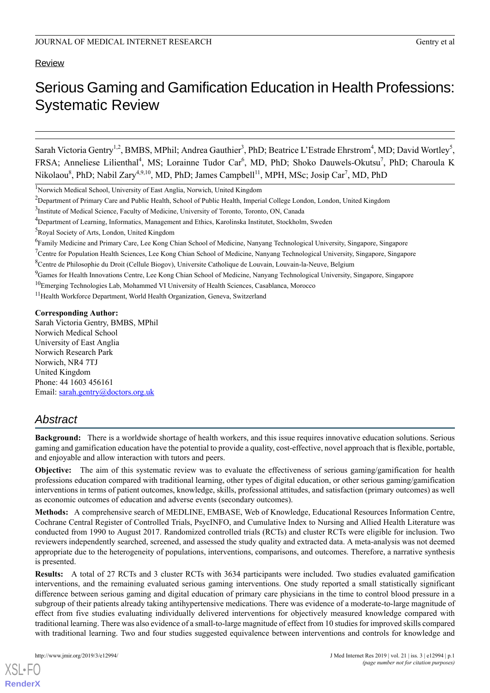# **Review**

# Serious Gaming and Gamification Education in Health Professions: Systematic Review

Sarah Victoria Gentry<sup>1,2</sup>, BMBS, MPhil; Andrea Gauthier<sup>3</sup>, PhD; Beatrice L'Estrade Ehrstrom<sup>4</sup>, MD; David Wortley<sup>5</sup>, FRSA; Anneliese Lilienthal<sup>4</sup>, MS; Lorainne Tudor Car<sup>6</sup>, MD, PhD; Shoko Dauwels-Okutsu<sup>7</sup>, PhD; Charoula K Nikolaou<sup>8</sup>, PhD; Nabil Zary<sup>4,9,10</sup>, MD, PhD; James Campbell<sup>11</sup>, MPH, MSc; Josip Car<sup>7</sup>, MD, PhD

<sup>1</sup>Norwich Medical School, University of East Anglia, Norwich, United Kingdom

<sup>5</sup>Royal Society of Arts, London, United Kingdom

<sup>9</sup>Games for Health Innovations Centre, Lee Kong Chian School of Medicine, Nanyang Technological University, Singapore, Singapore

<sup>11</sup> Health Workforce Department, World Health Organization, Geneva, Switzerland

#### **Corresponding Author:**

Sarah Victoria Gentry, BMBS, MPhil Norwich Medical School University of East Anglia Norwich Research Park Norwich, NR4 7TJ United Kingdom Phone: 44 1603 456161 Email: [sarah.gentry@doctors.org.uk](mailto:sarah.gentry@doctors.org.uk)

# *Abstract*

**Background:** There is a worldwide shortage of health workers, and this issue requires innovative education solutions. Serious gaming and gamification education have the potential to provide a quality, cost-effective, novel approach that is flexible, portable, and enjoyable and allow interaction with tutors and peers.

**Objective:** The aim of this systematic review was to evaluate the effectiveness of serious gaming/gamification for health professions education compared with traditional learning, other types of digital education, or other serious gaming/gamification interventions in terms of patient outcomes, knowledge, skills, professional attitudes, and satisfaction (primary outcomes) as well as economic outcomes of education and adverse events (secondary outcomes).

**Methods:** A comprehensive search of MEDLINE, EMBASE, Web of Knowledge, Educational Resources Information Centre, Cochrane Central Register of Controlled Trials, PsycINFO, and Cumulative Index to Nursing and Allied Health Literature was conducted from 1990 to August 2017. Randomized controlled trials (RCTs) and cluster RCTs were eligible for inclusion. Two reviewers independently searched, screened, and assessed the study quality and extracted data. A meta-analysis was not deemed appropriate due to the heterogeneity of populations, interventions, comparisons, and outcomes. Therefore, a narrative synthesis is presented.

**Results:** A total of 27 RCTs and 3 cluster RCTs with 3634 participants were included. Two studies evaluated gamification interventions, and the remaining evaluated serious gaming interventions. One study reported a small statistically significant difference between serious gaming and digital education of primary care physicians in the time to control blood pressure in a subgroup of their patients already taking antihypertensive medications. There was evidence of a moderate-to-large magnitude of effect from five studies evaluating individually delivered interventions for objectively measured knowledge compared with traditional learning. There was also evidence of a small-to-large magnitude of effect from 10 studies for improved skills compared with traditional learning. Two and four studies suggested equivalence between interventions and controls for knowledge and

<sup>&</sup>lt;sup>2</sup>Department of Primary Care and Public Health, School of Public Health, Imperial College London, London, United Kingdom

<sup>&</sup>lt;sup>3</sup>Institute of Medical Science, Faculty of Medicine, University of Toronto, Toronto, ON, Canada

<sup>4</sup>Department of Learning, Informatics, Management and Ethics, Karolinska Institutet, Stockholm, Sweden

<sup>&</sup>lt;sup>6</sup>Family Medicine and Primary Care, Lee Kong Chian School of Medicine, Nanyang Technological University, Singapore, Singapore

 $7$ Centre for Population Health Sciences, Lee Kong Chian School of Medicine, Nanyang Technological University, Singapore, Singapore

<sup>8</sup>Centre de Philosophie du Droit (Cellule Biogov), Universite Catholique de Louvain, Louvain-la-Neuve, Belgium

<sup>10</sup>Emerging Technologies Lab, Mohammed VI University of Health Sciences, Casablanca, Morocco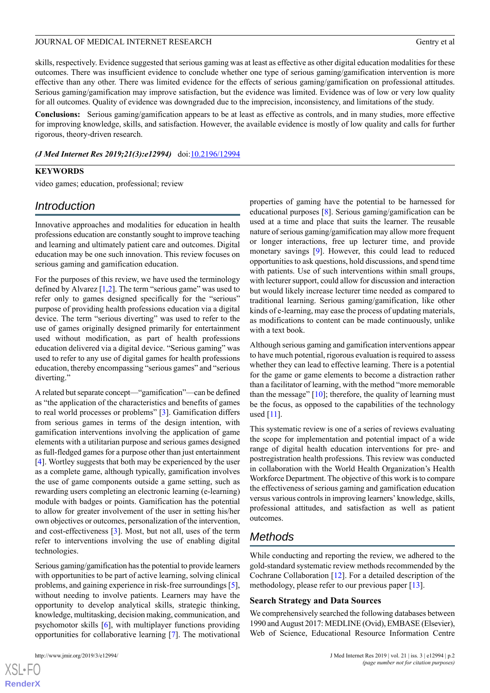skills, respectively. Evidence suggested that serious gaming was at least as effective as other digital education modalities for these outcomes. There was insufficient evidence to conclude whether one type of serious gaming/gamification intervention is more effective than any other. There was limited evidence for the effects of serious gaming/gamification on professional attitudes. Serious gaming/gamification may improve satisfaction, but the evidence was limited. Evidence was of low or very low quality for all outcomes. Quality of evidence was downgraded due to the imprecision, inconsistency, and limitations of the study.

**Conclusions:** Serious gaming/gamification appears to be at least as effective as controls, and in many studies, more effective for improving knowledge, skills, and satisfaction. However, the available evidence is mostly of low quality and calls for further rigorous, theory-driven research.

*(J Med Internet Res 2019;21(3):e12994)* doi:[10.2196/12994](http://dx.doi.org/10.2196/12994)

#### **KEYWORDS**

video games; education, professional; review

# *Introduction*

Innovative approaches and modalities for education in health professions education are constantly sought to improve teaching and learning and ultimately patient care and outcomes. Digital education may be one such innovation. This review focuses on serious gaming and gamification education.

For the purposes of this review, we have used the terminology defined by Alvarez  $[1,2]$  $[1,2]$  $[1,2]$  $[1,2]$ . The term "serious game" was used to refer only to games designed specifically for the "serious" purpose of providing health professions education via a digital device. The term "serious diverting" was used to refer to the use of games originally designed primarily for entertainment used without modification, as part of health professions education delivered via a digital device. "Serious gaming" was used to refer to any use of digital games for health professions education, thereby encompassing "serious games" and "serious diverting."

A related but separate concept—"gamification"—can be defined as "the application of the characteristics and benefits of games to real world processes or problems" [[3\]](#page-16-2). Gamification differs from serious games in terms of the design intention, with gamification interventions involving the application of game elements with a utilitarian purpose and serious games designed as full-fledged games for a purpose other than just entertainment [[4\]](#page-16-3). Wortley suggests that both may be experienced by the user as a complete game, although typically, gamification involves the use of game components outside a game setting, such as rewarding users completing an electronic learning (e-learning) module with badges or points. Gamification has the potential to allow for greater involvement of the user in setting his/her own objectives or outcomes, personalization of the intervention, and cost-effectiveness [\[3](#page-16-2)]. Most, but not all, uses of the term refer to interventions involving the use of enabling digital technologies.

Serious gaming/gamification has the potential to provide learners with opportunities to be part of active learning, solving clinical problems, and gaining experience in risk-free surroundings [[5\]](#page-16-4), without needing to involve patients. Learners may have the opportunity to develop analytical skills, strategic thinking, knowledge, multitasking, decision making, communication, and psychomotor skills [\[6](#page-16-5)], with multiplayer functions providing opportunities for collaborative learning [\[7](#page-16-6)]. The motivational

[XSL](http://www.w3.org/Style/XSL)•FO **[RenderX](http://www.renderx.com/)** properties of gaming have the potential to be harnessed for educational purposes [\[8](#page-16-7)]. Serious gaming/gamification can be used at a time and place that suits the learner. The reusable nature of serious gaming/gamification may allow more frequent or longer interactions, free up lecturer time, and provide monetary savings [[9\]](#page-16-8). However, this could lead to reduced opportunities to ask questions, hold discussions, and spend time with patients. Use of such interventions within small groups, with lecturer support, could allow for discussion and interaction but would likely increase lecturer time needed as compared to traditional learning. Serious gaming/gamification, like other kinds of e-learning, may ease the process of updating materials, as modifications to content can be made continuously, unlike with a text book.

Although serious gaming and gamification interventions appear to have much potential, rigorous evaluation is required to assess whether they can lead to effective learning. There is a potential for the game or game elements to become a distraction rather than a facilitator of learning, with the method "more memorable than the message"  $[10]$  $[10]$ ; therefore, the quality of learning must be the focus, as opposed to the capabilities of the technology used [[11](#page-17-0)].

This systematic review is one of a series of reviews evaluating the scope for implementation and potential impact of a wide range of digital health education interventions for pre- and postregistration health professions. This review was conducted in collaboration with the World Health Organization's Health Workforce Department. The objective of this work is to compare the effectiveness of serious gaming and gamification education versus various controls in improving learners' knowledge, skills, professional attitudes, and satisfaction as well as patient outcomes.

# *Methods*

While conducting and reporting the review, we adhered to the gold-standard systematic review methods recommended by the Cochrane Collaboration [[12\]](#page-17-1). For a detailed description of the methodology, please refer to our previous paper [[13\]](#page-17-2).

#### **Search Strategy and Data Sources**

We comprehensively searched the following databases between 1990 and August 2017: MEDLINE (Ovid), EMBASE (Elsevier), Web of Science, Educational Resource Information Centre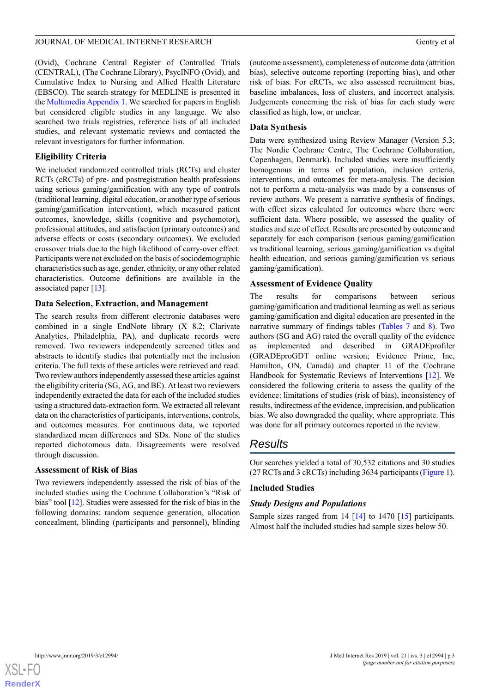(Ovid), Cochrane Central Register of Controlled Trials (CENTRAL), (The Cochrane Library), PsycINFO (Ovid), and Cumulative Index to Nursing and Allied Health Literature (EBSCO). The search strategy for MEDLINE is presented in the [Multimedia Appendix 1](#page-16-10). We searched for papers in English but considered eligible studies in any language. We also searched two trials registries, reference lists of all included studies, and relevant systematic reviews and contacted the relevant investigators for further information.

# **Eligibility Criteria**

We included randomized controlled trials (RCTs) and cluster RCTs (cRCTs) of pre- and postregistration health professions using serious gaming/gamification with any type of controls (traditional learning, digital education, or another type of serious gaming/gamification intervention), which measured patient outcomes, knowledge, skills (cognitive and psychomotor), professional attitudes, and satisfaction (primary outcomes) and adverse effects or costs (secondary outcomes). We excluded crossover trials due to the high likelihood of carry-over effect. Participants were not excluded on the basis of sociodemographic characteristics such as age, gender, ethnicity, or any other related characteristics. Outcome definitions are available in the associated paper [\[13](#page-17-2)].

# **Data Selection, Extraction, and Management**

The search results from different electronic databases were combined in a single EndNote library (X 8.2; Clarivate Analytics, Philadelphia, PA), and duplicate records were removed. Two reviewers independently screened titles and abstracts to identify studies that potentially met the inclusion criteria. The full texts of these articles were retrieved and read. Two review authors independently assessed these articles against the eligibility criteria (SG, AG, and BE). At least two reviewers independently extracted the data for each of the included studies using a structured data-extraction form. We extracted all relevant data on the characteristics of participants, interventions, controls, and outcomes measures. For continuous data, we reported standardized mean differences and SDs. None of the studies reported dichotomous data. Disagreements were resolved through discussion.

# **Assessment of Risk of Bias**

Two reviewers independently assessed the risk of bias of the included studies using the Cochrane Collaboration's "Risk of bias" tool [[12\]](#page-17-1). Studies were assessed for the risk of bias in the following domains: random sequence generation, allocation concealment, blinding (participants and personnel), blinding

(outcome assessment), completeness of outcome data (attrition bias), selective outcome reporting (reporting bias), and other risk of bias. For cRCTs, we also assessed recruitment bias, baseline imbalances, loss of clusters, and incorrect analysis. Judgements concerning the risk of bias for each study were classified as high, low, or unclear.

# **Data Synthesis**

Data were synthesized using Review Manager (Version 5.3; The Nordic Cochrane Centre, The Cochrane Collaboration, Copenhagen, Denmark). Included studies were insufficiently homogenous in terms of population, inclusion criteria, interventions, and outcomes for meta-analysis. The decision not to perform a meta-analysis was made by a consensus of review authors. We present a narrative synthesis of findings, with effect sizes calculated for outcomes where there were sufficient data. Where possible, we assessed the quality of studies and size of effect. Results are presented by outcome and separately for each comparison (serious gaming/gamification vs traditional learning, serious gaming/gamification vs digital health education, and serious gaming/gamification vs serious gaming/gamification).

# **Assessment of Evidence Quality**

The results for comparisons between serious gaming/gamification and traditional learning as well as serious gaming/gamification and digital education are presented in the narrative summary of findings tables [\(Tables 7](#page-11-0) and [8](#page-12-0)). Two authors (SG and AG) rated the overall quality of the evidence as implemented and described in GRADEprofiler (GRADEproGDT online version; Evidence Prime, Inc, Hamilton, ON, Canada) and chapter 11 of the Cochrane Handbook for Systematic Reviews of Interventions [\[12](#page-17-1)]. We considered the following criteria to assess the quality of the evidence: limitations of studies (risk of bias), inconsistency of results, indirectness of the evidence, imprecision, and publication bias. We also downgraded the quality, where appropriate. This was done for all primary outcomes reported in the review.

# *Results*

Our searches yielded a total of 30,532 citations and 30 studies (27 RCTs and 3 cRCTs) including 3634 participants ([Figure 1\)](#page-3-0).

# **Included Studies**

# *Study Designs and Populations*

Sample sizes ranged from 14 [\[14](#page-17-3)] to 1470 [[15\]](#page-17-4) participants. Almost half the included studies had sample sizes below 50.

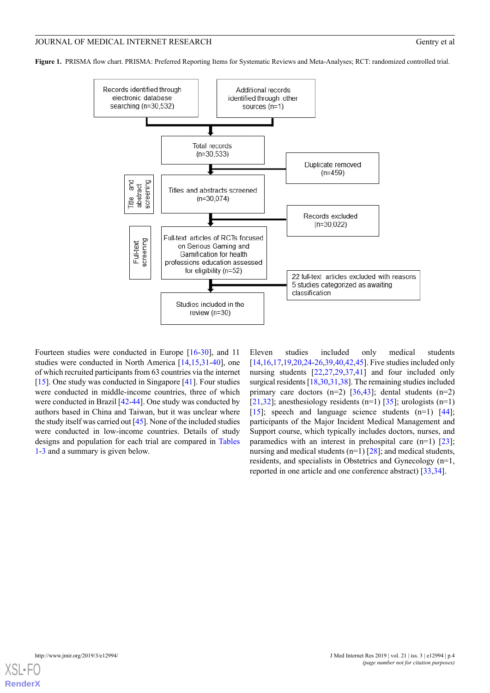<span id="page-3-0"></span>**Figure 1.** PRISMA flow chart. PRISMA: Preferred Reporting Items for Systematic Reviews and Meta-Analyses; RCT: randomized controlled trial.



Fourteen studies were conducted in Europe [\[16](#page-17-5)-[30\]](#page-17-6), and 11 studies were conducted in North America [[14,](#page-17-3)[15](#page-17-4),[31-](#page-17-7)[40](#page-18-0)], one of which recruited participants from 63 countries via the internet [[15\]](#page-17-4). One study was conducted in Singapore [\[41](#page-18-1)]. Four studies were conducted in middle-income countries, three of which were conducted in Brazil [[42](#page-18-2)[-44](#page-18-3)]. One study was conducted by authors based in China and Taiwan, but it was unclear where the study itself was carried out [\[45](#page-18-4)]. None of the included studies were conducted in low-income countries. Details of study designs and population for each trial are compared in [Tables](#page-4-0) [1-](#page-4-0)[3](#page-5-0) and a summary is given below.

Eleven studies included only medical students [[14](#page-17-3)[,16](#page-17-5),[17](#page-17-8)[,19](#page-17-9),[20,](#page-17-10)[24](#page-17-11)[-26](#page-17-12),[39,](#page-18-5)[40](#page-18-0),[42,](#page-18-2)[45](#page-18-4)]. Five studies included only nursing students [[22](#page-17-13)[,27](#page-17-14),[29](#page-17-15)[,37](#page-18-6),[41\]](#page-18-1) and four included only surgical residents [\[18](#page-17-16),[30,](#page-17-6)[31](#page-17-7)[,38](#page-18-7)]. The remaining studies included primary care doctors  $(n=2)$  [\[36](#page-18-8)[,43](#page-18-9)]; dental students  $(n=2)$ ] [[21,](#page-17-17)[32\]](#page-18-10); anesthesiology residents  $(n=1)$  [[35\]](#page-18-11); urologists  $(n=1)$ [[15\]](#page-17-4); speech and language science students (n=1) [[44\]](#page-18-3); participants of the Major Incident Medical Management and Support course, which typically includes doctors, nurses, and paramedics with an interest in prehospital care  $(n=1)$  [[23\]](#page-17-18); nursing and medical students ( $n=1$ ) [[28\]](#page-17-19); and medical students, residents, and specialists in Obstetrics and Gynecology (n=1, reported in one article and one conference abstract) [\[33](#page-18-12),[34\]](#page-18-13).

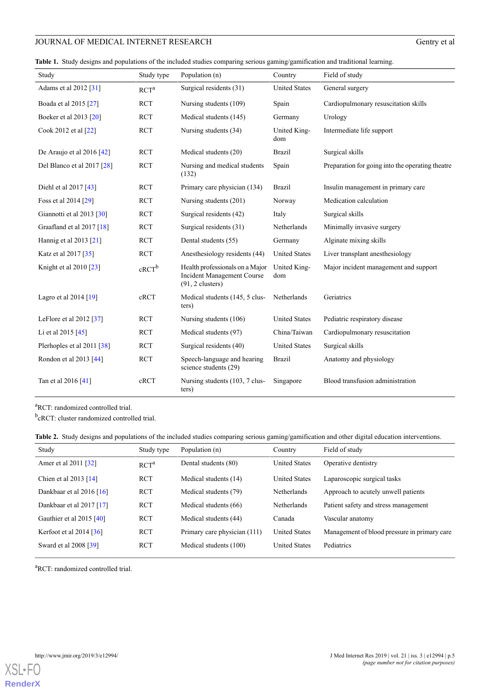<span id="page-4-0"></span>**Table 1.** Study designs and populations of the included studies comparing serious gaming/gamification and traditional learning.

| Study                       | Study type | Population (n)                                                                             | Country              | Field of study                                   |
|-----------------------------|------------|--------------------------------------------------------------------------------------------|----------------------|--------------------------------------------------|
| Adams et al 2012 [31]       | $RCT^a$    | Surgical residents (31)                                                                    | <b>United States</b> | General surgery                                  |
| Boada et al 2015 [27]       | <b>RCT</b> | Nursing students (109)                                                                     | Spain                | Cardiopulmonary resuscitation skills             |
| Boeker et al 2013 [20]      | <b>RCT</b> | Medical students (145)                                                                     | Germany              | Urology                                          |
| Cook 2012 et al [22]        | <b>RCT</b> | Nursing students (34)                                                                      | United King-<br>dom  | Intermediate life support                        |
| De Araujo et al $2016$ [42] | <b>RCT</b> | Medical students (20)                                                                      | <b>Brazil</b>        | Surgical skills                                  |
| Del Blanco et al 2017 [28]  | <b>RCT</b> | Nursing and medical students<br>(132)                                                      | Spain                | Preparation for going into the operating theatre |
| Diehl et al $2017$ [43]     | <b>RCT</b> | Primary care physician (134)                                                               | <b>Brazil</b>        | Insulin management in primary care               |
| Foss et al 2014 [29]        | <b>RCT</b> | Nursing students (201)                                                                     | Norway               | Medication calculation                           |
| Giannotti et al 2013 [30]   | <b>RCT</b> | Surgical residents (42)                                                                    | Italy                | Surgical skills                                  |
| Graafland et al 2017 [18]   | <b>RCT</b> | Surgical residents (31)                                                                    | Netherlands          | Minimally invasive surgery                       |
| Hannig et al $2013$ [21]    | <b>RCT</b> | Dental students (55)                                                                       | Germany              | Alginate mixing skills                           |
| Katz et al 2017 [35]        | <b>RCT</b> | Anesthesiology residents (44)                                                              | <b>United States</b> | Liver transplant anesthesiology                  |
| Knight et al 2010 [23]      | $cRCT^b$   | Health professionals on a Major<br><b>Incident Management Course</b><br>$(91, 2$ clusters) | United King-<br>dom  | Major incident management and support            |
| Lagro et al $2014$ [19]     | cRCT       | Medical students (145, 5 clus-<br>ters)                                                    | Netherlands          | Geriatrics                                       |
| LeFlore et al $2012$ [37]   | <b>RCT</b> | Nursing students (106)                                                                     | <b>United States</b> | Pediatric respiratory disease                    |
| Li et al 2015 [45]          | <b>RCT</b> | Medical students (97)                                                                      | China/Taiwan         | Cardiopulmonary resuscitation                    |
| Plerhoples et al 2011 [38]  | <b>RCT</b> | Surgical residents (40)                                                                    | <b>United States</b> | Surgical skills                                  |
| Rondon et al 2013 [44]      | <b>RCT</b> | Speech-language and hearing<br>science students (29)                                       | <b>Brazil</b>        | Anatomy and physiology                           |
| Tan et al 2016 [41]         | cRCT       | Nursing students (103, 7 clus-<br>ters)                                                    | Singapore            | Blood transfusion administration                 |

<sup>a</sup>RCT: randomized controlled trial.

<sup>b</sup>cRCT: cluster randomized controlled trial.

**Table 2.** Study designs and populations of the included studies comparing serious gaming/gamification and other digital education interventions.

| Study                      | Study type       | Population (n)               | Country              | Field of study                               |
|----------------------------|------------------|------------------------------|----------------------|----------------------------------------------|
| Amer et al 2011 [32]       | RCT <sup>a</sup> | Dental students (80)         | <b>United States</b> | Operative dentistry                          |
| Chien et al $2013$ [14]    | <b>RCT</b>       | Medical students (14)        | <b>United States</b> | Laparoscopic surgical tasks                  |
| Dankbaar et al $2016$ [16] | <b>RCT</b>       | Medical students (79)        | Netherlands          | Approach to acutely unwell patients          |
| Dankbaar et al $2017$ [17] | <b>RCT</b>       | Medical students (66)        | <b>Netherlands</b>   | Patient safety and stress management         |
| Gauthier et al $2015$ [40] | <b>RCT</b>       | Medical students (44)        | Canada               | Vascular anatomy                             |
| Kerfoot et al $2014$ [36]  | <b>RCT</b>       | Primary care physician (111) | <b>United States</b> | Management of blood pressure in primary care |
| Sward et al 2008 [39]      | <b>RCT</b>       | Medical students (100)       | <b>United States</b> | Pediatrics                                   |
|                            |                  |                              |                      |                                              |

<sup>a</sup>RCT: randomized controlled trial.

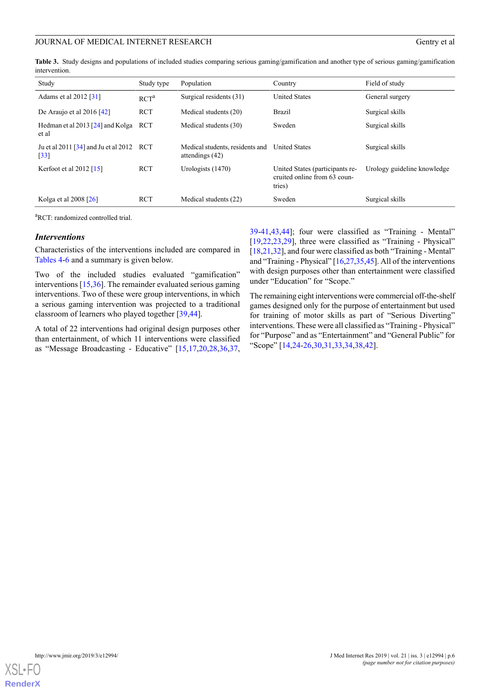<span id="page-5-0"></span>**Table 3.** Study designs and populations of included studies comparing serious gaming/gamification and another type of serious gaming/gamification intervention.

| Study                                                          | Study type       | Population                                           | Country                                                                   | Field of study              |
|----------------------------------------------------------------|------------------|------------------------------------------------------|---------------------------------------------------------------------------|-----------------------------|
| Adams et al 2012 [31]                                          | RCT <sup>a</sup> | Surgical residents (31)                              | <b>United States</b>                                                      | General surgery             |
| De Araujo et al $2016$ [42]                                    | <b>RCT</b>       | Medical students (20)                                | Brazil                                                                    | Surgical skills             |
| Hedman et al 2013 [24] and Kolga<br>et al                      | <b>RCT</b>       | Medical students (30)                                | Sweden                                                                    | Surgical skills             |
| Ju et al 2011 [34] and Ju et al 2012 RCT<br>$\lceil 33 \rceil$ |                  | Medical students, residents and<br>attendings $(42)$ | <b>United States</b>                                                      | Surgical skills             |
| Kerfoot et al $2012$ [15]                                      | <b>RCT</b>       | Urologists (1470)                                    | United States (participants re-<br>cruited online from 63 coun-<br>tries) | Urology guideline knowledge |
| Kolga et al 2008 [26]                                          | <b>RCT</b>       | Medical students (22)                                | Sweden                                                                    | Surgical skills             |

<sup>a</sup>RCT: randomized controlled trial.

#### *Interventions*

Characteristics of the interventions included are compared in [Tables 4](#page-6-0)[-6](#page-7-0) and a summary is given below.

Two of the included studies evaluated "gamification" interventions [\[15](#page-17-4),[36\]](#page-18-8). The remainder evaluated serious gaming interventions. Two of these were group interventions, in which a serious gaming intervention was projected to a traditional classroom of learners who played together [[39](#page-18-5)[,44](#page-18-3)].

A total of 22 interventions had original design purposes other than entertainment, of which 11 interventions were classified as "Message Broadcasting - Educative" [[15,](#page-17-4)[17](#page-17-8),[20,](#page-17-10)[28](#page-17-19),[36,](#page-18-8)[37](#page-18-6),

[39-](#page-18-5)[41,](#page-18-1)[43,](#page-18-9)[44\]](#page-18-3); four were classified as "Training - Mental" [[19,](#page-17-9)[22,](#page-17-13)[23](#page-17-18)[,29](#page-17-15)], three were classified as "Training - Physical" [[18](#page-17-16)[,21](#page-17-17),[32\]](#page-18-10), and four were classified as both "Training - Mental" and "Training - Physical" [\[16](#page-17-5)[,27](#page-17-14),[35,](#page-18-11)[45\]](#page-18-4). All of the interventions with design purposes other than entertainment were classified under "Education" for "Scope."

The remaining eight interventions were commercial off-the-shelf games designed only for the purpose of entertainment but used for training of motor skills as part of "Serious Diverting" interventions. These were all classified as "Training - Physical" for "Purpose" and as "Entertainment" and "General Public" for "Scope" [[14,](#page-17-3)[24](#page-17-11)-[26,](#page-17-12)[30](#page-17-6),[31,](#page-17-7)[33](#page-18-12),[34,](#page-18-13)[38](#page-18-7),[42\]](#page-18-2).

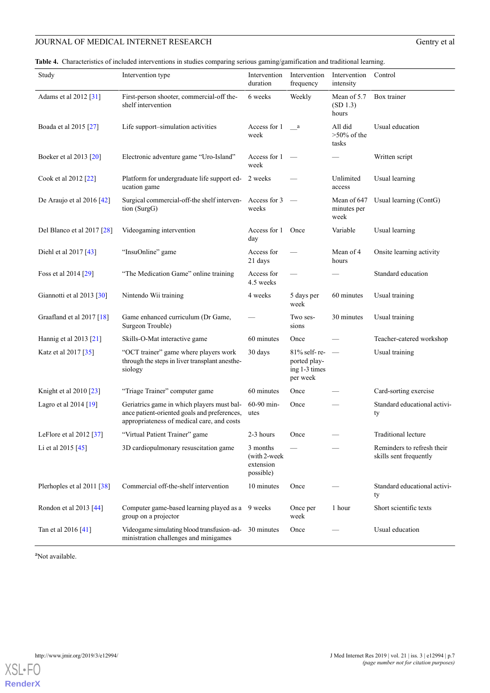<span id="page-6-0"></span>**Table 4.** Characteristics of included interventions in studies comparing serious gaming/gamification and traditional learning.

| Study                       | Intervention type                                                                                                                        | Intervention<br>duration                           | Intervention<br>frequency                                 | Intervention<br>intensity          | Control                                              |
|-----------------------------|------------------------------------------------------------------------------------------------------------------------------------------|----------------------------------------------------|-----------------------------------------------------------|------------------------------------|------------------------------------------------------|
| Adams et al 2012 [31]       | First-person shooter, commercial-off the-<br>shelf intervention                                                                          | 6 weeks                                            | Weekly                                                    | Mean of 5.7<br>(SD 1.3)<br>hours   | Box trainer                                          |
| Boada et al 2015 [27]       | Life support-simulation activities                                                                                                       | Access for 1<br>week                               | a a                                                       | All did<br>$>50\%$ of the<br>tasks | Usual education                                      |
| Boeker et al 2013 [20]      | Electronic adventure game "Uro-Island"                                                                                                   | Access for 1<br>week                               | $\hspace{0.1mm}$                                          |                                    | Written script                                       |
| Cook et al 2012 [22]        | Platform for undergraduate life support ed- 2 weeks<br>ucation game                                                                      |                                                    |                                                           | Unlimited<br>access                | Usual learning                                       |
| De Araujo et al 2016 $[42]$ | Surgical commercial-off-the shelf interven-<br>tion (SurgG)                                                                              | Access for 3<br>weeks                              |                                                           | Mean of 647<br>minutes per<br>week | Usual learning (ContG)                               |
| Del Blanco et al 2017 [28]  | Videogaming intervention                                                                                                                 | Access for 1 Once<br>day                           |                                                           | Variable                           | Usual learning                                       |
| Diehl et al $2017$ [43]     | "InsuOnline" game                                                                                                                        | Access for<br>21 days                              |                                                           | Mean of 4<br>hours                 | Onsite learning activity                             |
| Foss et al 2014 [29]        | "The Medication Game" online training                                                                                                    | Access for<br>4.5 weeks                            |                                                           |                                    | Standard education                                   |
| Giannotti et al 2013 [30]   | Nintendo Wii training                                                                                                                    | 4 weeks                                            | 5 days per<br>week                                        | 60 minutes                         | Usual training                                       |
| Graafland et al 2017 [18]   | Game enhanced curriculum (Dr Game,<br>Surgeon Trouble)                                                                                   |                                                    | Two ses-<br>sions                                         | 30 minutes                         | Usual training                                       |
| Hannig et al 2013 [21]      | Skills-O-Mat interactive game                                                                                                            | 60 minutes                                         | Once                                                      |                                    | Teacher-catered workshop                             |
| Katz et al 2017 [35]        | "OCT trainer" game where players work<br>through the steps in liver transplant anesthe-<br>siology                                       | 30 days                                            | 81% self-re-<br>ported play-<br>ing 1-3 times<br>per week | $\overline{\phantom{m}}$           | Usual training                                       |
| Knight et al 2010 [23]      | "Triage Trainer" computer game                                                                                                           | 60 minutes                                         | Once                                                      |                                    | Card-sorting exercise                                |
| Lagro et al $2014$ [19]     | Geriatrics game in which players must bal-<br>ance patient-oriented goals and preferences,<br>appropriateness of medical care, and costs | $60-90$ min-<br>utes                               | Once                                                      |                                    | Standard educational activi-<br>ty                   |
| LeFlore et al 2012 [37]     | "Virtual Patient Trainer" game                                                                                                           | 2-3 hours                                          | Once                                                      |                                    | Traditional lecture                                  |
| Li et al $2015$ [45]        | 3D cardiopulmonary resuscitation game                                                                                                    | 3 months<br>(with 2-week<br>extension<br>possible) |                                                           |                                    | Reminders to refresh their<br>skills sent frequently |
| Plerhoples et al 2011 [38]  | Commercial off-the-shelf intervention                                                                                                    | 10 minutes                                         | Once                                                      |                                    | Standard educational activi-<br>ty                   |
| Rondon et al 2013 [44]      | Computer game-based learning played as a<br>group on a projector                                                                         | 9 weeks                                            | Once per<br>week                                          | 1 hour                             | Short scientific texts                               |
| Tan et al 2016 [41]         | Videogame simulating blood transfusion-ad-<br>ministration challenges and minigames                                                      | 30 minutes                                         | Once                                                      |                                    | Usual education                                      |

<sup>a</sup>Not available.

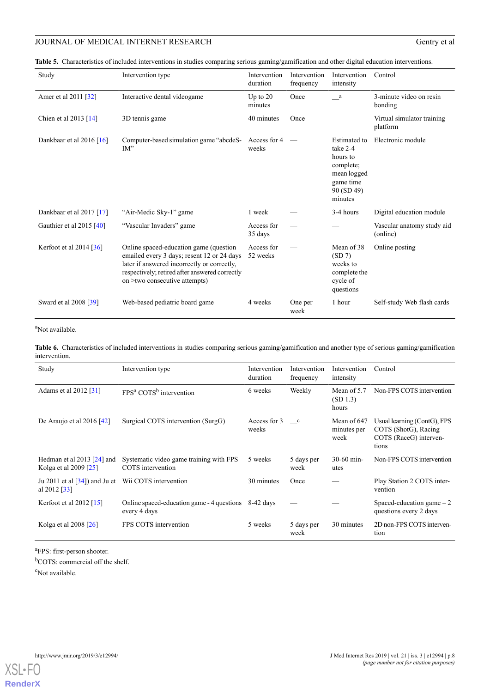**Table 5.** Characteristics of included interventions in studies comparing serious gaming/gamification and other digital education interventions.

| Study                         | Intervention type                                                                                                                                                                                                      | Intervention<br>duration | Intervention<br>frequency | Intervention<br>intensity                                                                                     | Control                                |
|-------------------------------|------------------------------------------------------------------------------------------------------------------------------------------------------------------------------------------------------------------------|--------------------------|---------------------------|---------------------------------------------------------------------------------------------------------------|----------------------------------------|
| Amer et al 2011 [32]          | Interactive dental videogame                                                                                                                                                                                           | Up to $20$<br>minutes    | Once                      | a a                                                                                                           | 3-minute video on resin<br>bonding     |
| Chien et al $2013$ [14]       | 3D tennis game                                                                                                                                                                                                         | 40 minutes               | Once                      |                                                                                                               | Virtual simulator training<br>platform |
| Dankbaar et al 2016 $[16]$    | Computer-based simulation game "abcdeS-<br>$IM$ "                                                                                                                                                                      | Access for 4<br>weeks    |                           | <b>Estimated</b> to<br>take 2-4<br>hours to<br>complete;<br>mean logged<br>game time<br>90 (SD 49)<br>minutes | Electronic module                      |
| Dankbaar et al $2017$ [17]    | "Air-Medic Sky-1" game                                                                                                                                                                                                 | 1 week                   |                           | 3-4 hours                                                                                                     | Digital education module               |
| Gauthier et al 2015 [40]      | "Vascular Invaders" game                                                                                                                                                                                               | Access for<br>35 days    |                           |                                                                                                               | Vascular anatomy study aid<br>(online) |
| Kerfoot et al $2014$ [ $36$ ] | Online spaced-education game (question<br>emailed every 3 days; resent 12 or 24 days<br>later if answered incorrectly or correctly,<br>respectively; retired after answered correctly<br>on >two consecutive attempts) | Access for<br>52 weeks   |                           | Mean of 38<br>(SD 7)<br>weeks to<br>complete the<br>cycle of<br>questions                                     | Online posting                         |
| Sward et al 2008 [39]         | Web-based pediatric board game                                                                                                                                                                                         | 4 weeks                  | One per<br>week           | 1 hour                                                                                                        | Self-study Web flash cards             |

# <span id="page-7-0"></span><sup>a</sup>Not available.

**Table 6.** Characteristics of included interventions in studies comparing serious gaming/gamification and another type of serious gaming/gamification intervention.

| Study                                                         | Intervention type                                            | Intervention<br>duration | Intervention<br>frequency | Intervention<br>intensity          | Control                                                                                |
|---------------------------------------------------------------|--------------------------------------------------------------|--------------------------|---------------------------|------------------------------------|----------------------------------------------------------------------------------------|
| Adams et al 2012 [31]                                         | FPS <sup>a</sup> COTS <sup>b</sup> intervention              | 6 weeks                  | Weekly                    | Mean of 5.7<br>(SD 1.3)<br>hours   | Non-FPS COTS intervention                                                              |
| De Araujo et al $2016$ [42]                                   | Surgical COTS intervention (SurgG)                           | Access for 3<br>weeks    | $\mathbf{c}$              | Mean of 647<br>minutes per<br>week | Usual learning (ContG), FPS<br>COTS (ShotG), Racing<br>COTS (RaceG) interven-<br>tions |
| Hedman et al $2013$ [24] and<br>Kolga et al 2009 [25]         | Systematic video game training with FPS<br>COTS intervention | 5 weeks                  | 5 days per<br>week        | $30-60$ min-<br>utes               | Non-FPS COTS intervention                                                              |
| Ju 2011 et al $\left[34\right]$ and Ju et<br>al 2012 [ $33$ ] | Wii COTS intervention                                        | 30 minutes               | Once                      |                                    | Play Station 2 COTS inter-<br>vention                                                  |
| Kerfoot et al $2012$ [15]                                     | Online spaced-education game - 4 questions<br>every 4 days   | $8-42$ days              |                           |                                    | Spaced-education game $-2$<br>questions every 2 days                                   |
| Kolga et al $2008$ [26]                                       | FPS COTS intervention                                        | 5 weeks                  | 5 days per<br>week        | 30 minutes                         | 2D non-FPS COTS interven-<br>tion                                                      |

<sup>a</sup>FPS: first-person shooter.

<sup>b</sup>COTS: commercial off the shelf.

<sup>c</sup>Not available.

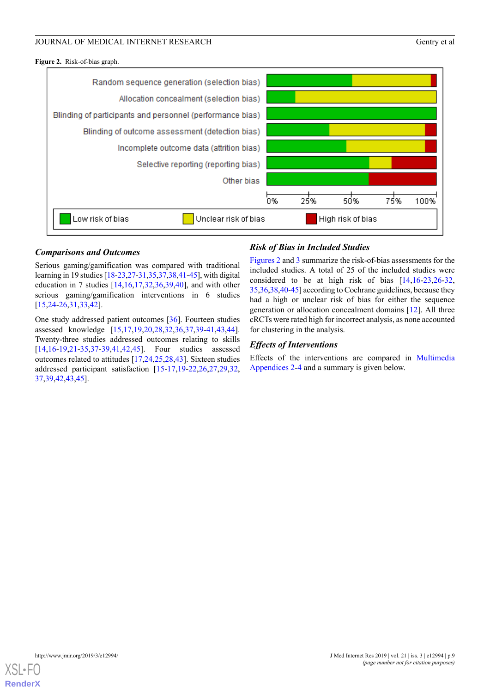<span id="page-8-0"></span>**Figure 2.** Risk-of-bias graph.



# *Comparisons and Outcomes*

Serious gaming/gamification was compared with traditional learning in 19 studies [[18-](#page-17-16)[23,](#page-17-18)[27](#page-17-14)[-31](#page-17-7)[,35](#page-18-11),[37](#page-18-6),[38,](#page-18-7)[41](#page-18-1)[-45\]](#page-18-4), with digital education in 7 studies [\[14](#page-17-3),[16](#page-17-5)[,17](#page-17-8),[32](#page-18-10)[,36](#page-18-8),[39](#page-18-5)[,40](#page-18-0)], and with other serious gaming/gamification interventions in 6 studies [[15](#page-17-4)[,24](#page-17-11)-[26,](#page-17-12)[31](#page-17-7),[33,](#page-18-12)[42](#page-18-2)].

One study addressed patient outcomes [[36\]](#page-18-8). Fourteen studies assessed knowledge [[15,](#page-17-4)[17](#page-17-8)[,19](#page-17-9),[20,](#page-17-10)[28,](#page-17-19)[32](#page-18-10)[,36](#page-18-8),[37,](#page-18-6)[39-](#page-18-5)[41](#page-18-1)[,43](#page-18-9),[44\]](#page-18-3). Twenty-three studies addressed outcomes relating to skills [[14](#page-17-3)[,16](#page-17-5)-[19,](#page-17-9)[21](#page-17-17)-[35,](#page-18-11)[37](#page-18-6)[-39](#page-18-5),[41](#page-18-1)[,42](#page-18-2),[45\]](#page-18-4). Four studies assessed outcomes related to attitudes [\[17](#page-17-8),[24,](#page-17-11)[25](#page-17-20)[,28](#page-17-19)[,43](#page-18-9)]. Sixteen studies addressed participant satisfaction [[15](#page-17-4)[-17](#page-17-8),[19-](#page-17-9)[22](#page-17-13),[26,](#page-17-12)[27](#page-17-14),[29,](#page-17-15)[32](#page-18-10), [37](#page-18-6)[,39](#page-18-5),[42,](#page-18-2)[43](#page-18-9)[,45](#page-18-4)].

# *Risk of Bias in Included Studies*

[Figures 2](#page-8-0) and [3](#page-9-0) summarize the risk-of-bias assessments for the included studies. A total of 25 of the included studies were considered to be at high risk of bias [[14,](#page-17-3)[16](#page-17-5)[-23](#page-17-18),[26](#page-17-12)[-32](#page-18-10), [35,](#page-18-11)[36,](#page-18-8)[38](#page-18-7)[,40](#page-18-0)-[45](#page-18-4)] according to Cochrane guidelines, because they had a high or unclear risk of bias for either the sequence generation or allocation concealment domains [[12\]](#page-17-1). All three cRCTs were rated high for incorrect analysis, as none accounted for clustering in the analysis.

#### *Effects of Interventions*

Effects of the interventions are compared in [Multimedia](#page-16-11) [Appendices 2](#page-16-11)-[4](#page-16-12) and a summary is given below.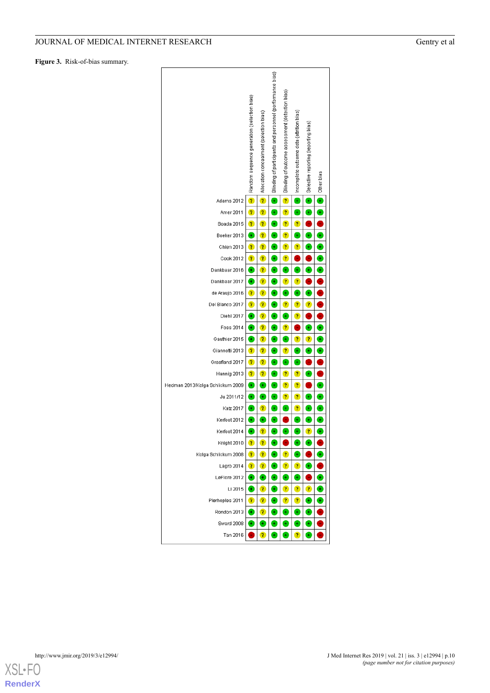<span id="page-9-0"></span>**Figure 3.** Risk-of-bias summary.



**[RenderX](http://www.renderx.com/)**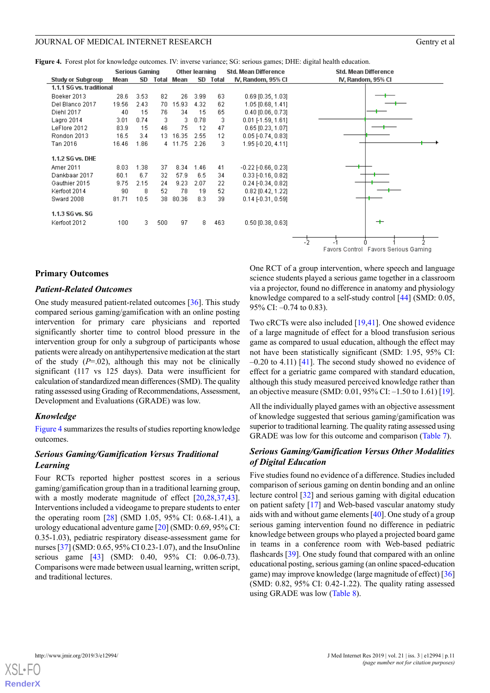<span id="page-10-0"></span>**Figure 4.** Forest plot for knowledge outcomes. IV: inverse variance; SG: serious games; DHE: digital health education.

|                          |       | <b>Serious Gaming</b> |       |         | Other learning |       | <b>Std. Mean Difference</b> | <b>Std. Mean Difference</b> |
|--------------------------|-------|-----------------------|-------|---------|----------------|-------|-----------------------------|-----------------------------|
| <b>Study or Subgroup</b> | Mean  | SD                    | Total | Mean    | SD             | Total | IV, Random, 95% CI          | IV, Random, 95% CI          |
| 1.1.1 SG vs. traditional |       |                       |       |         |                |       |                             |                             |
| Boeker 2013              | 28.6  | 3.53                  | 82    | 26.     | 3.99           | 63    | $0.69$ [0.35, 1.03]         |                             |
| Del Blanco 2017          | 19.56 | 2.43                  | 70.   | 15.93   | 4.32           | 62    | 1.05 [0.68, 1.41]           |                             |
| Diehl 2017               | 40    | 15                    | 76.   | 34      | 15             | 65    | $0.40$ [0.06, 0.73]         |                             |
| Lagro 2014               | 3.01  | 0.74                  | з     | 3       | 0.78           | з     | $0.01$ [-1.59, 1.61]        |                             |
| LeFlore 2012             | 83.9  | 15                    | 46    | 75      | 12             | 47    | $0.65$ [0.23, 1.07]         |                             |
| Rondon 2013              | 16.5  | 3.4                   | 13    | 16.35   | 2.55           | 12    | $0.05$ [-0.74, 0.83]        |                             |
| Tan 2016                 | 16.46 | 1.86                  |       | 4 11.75 | 2.26           | 3     | 1.95 [-0.20, 4.11]          |                             |
| 1.1.2 SG vs. DHE         |       |                       |       |         |                |       |                             |                             |
| Amer 2011                | 8.03  | 1.38                  | 37    | 8.34    | 1.46           | 41    | $-0.22$ $[-0.66, 0.23]$     |                             |
| Dankbaar 2017            | 60.1  | 6.7                   | 32    | 57.9    | 6.5            | 34    | $0.33$ [-0.16, 0.82]        |                             |
| Gauthier 2015            | 9.75  | 2.15                  | 24    | 9.23    | 2.07           | 22    | $0.24$ [-0.34, 0.82]        |                             |
| Kerfoot 2014             | 90    | 8                     | 52    | 78      | 19             | 52    | 0.82 [0.42, 1.22]           |                             |
| Sward 2008               | 81.71 | 10.5                  | 38    | 80.36   | 8.3            | 39    | $0.14$ [ $-0.31$ , $0.59$ ] |                             |
| 1.1.3 SG vs. SG          |       |                       |       |         |                |       |                             |                             |
| Kerfoot 2012             | 100   | з.                    | 500   | 97      | 8.             | 463   | $0.50$ [0.38, 0.63]         | ᆠ                           |
|                          |       |                       |       |         |                |       |                             |                             |
|                          |       |                       |       |         |                |       |                             |                             |

Favors Control Favors Serious Gaming

#### **Primary Outcomes**

#### *Patient-Related Outcomes*

One study measured patient-related outcomes [\[36](#page-18-8)]. This study compared serious gaming/gamification with an online posting intervention for primary care physicians and reported significantly shorter time to control blood pressure in the intervention group for only a subgroup of participants whose patients were already on antihypertensive medication at the start of the study  $(P=0.02)$ , although this may not be clinically significant (117 vs 125 days). Data were insufficient for calculation of standardized mean differences (SMD). The quality rating assessed using Grading of Recommendations, Assessment, Development and Evaluations (GRADE) was low.

#### *Knowledge*

[Figure 4](#page-10-0) summarizes the results of studies reporting knowledge outcomes.

# *Serious Gaming/Gamification Versus Traditional Learning*

Four RCTs reported higher posttest scores in a serious gaming/gamification group than in a traditional learning group, with a mostly moderate magnitude of effect [\[20](#page-17-10),[28](#page-17-19)[,37](#page-18-6),[43\]](#page-18-9). Interventions included a videogame to prepare students to enter the operating room [\[28](#page-17-19)] (SMD 1.05, 95% CI: 0.68-1.41), a urology educational adventure game [[20\]](#page-17-10) (SMD: 0.69, 95% CI: 0.35-1.03), pediatric respiratory disease-assessment game for nurses [\[37](#page-18-6)] (SMD: 0.65, 95% CI 0.23-1.07), and the InsuOnline serious game [[43\]](#page-18-9) (SMD: 0.40, 95% CI: 0.06-0.73). Comparisons were made between usual learning, written script, and traditional lectures.

One RCT of a group intervention, where speech and language science students played a serious game together in a classroom via a projector, found no difference in anatomy and physiology knowledge compared to a self-study control [\[44](#page-18-3)] (SMD: 0.05, 95% CI: –0.74 to 0.83).

Two cRCTs were also included [\[19](#page-17-9),[41\]](#page-18-1). One showed evidence of a large magnitude of effect for a blood transfusion serious game as compared to usual education, although the effect may not have been statistically significant (SMD: 1.95, 95% CI:  $-0.20$  to 4.11) [[41\]](#page-18-1). The second study showed no evidence of effect for a geriatric game compared with standard education, although this study measured perceived knowledge rather than an objective measure (SMD: 0.01, 95% CI: –1.50 to 1.61) [[19\]](#page-17-9).

All the individually played games with an objective assessment of knowledge suggested that serious gaming/gamification was superior to traditional learning. The quality rating assessed using GRADE was low for this outcome and comparison ([Table 7\)](#page-11-0).

# *Serious Gaming/Gamification Versus Other Modalities of Digital Education*

Five studies found no evidence of a difference. Studies included comparison of serious gaming on dentin bonding and an online lecture control [[32\]](#page-18-10) and serious gaming with digital education on patient safety [[17\]](#page-17-8) and Web-based vascular anatomy study aids with and without game elements [[40](#page-18-0)]. One study of a group serious gaming intervention found no difference in pediatric knowledge between groups who played a projected board game in teams in a conference room with Web-based pediatric flashcards [[39\]](#page-18-5). One study found that compared with an online educational posting, serious gaming (an online spaced-education game) may improve knowledge (large magnitude of effect) [[36\]](#page-18-8) (SMD: 0.82, 95% CI: 0.42-1.22). The quality rating assessed using GRADE was low ([Table 8](#page-12-0)).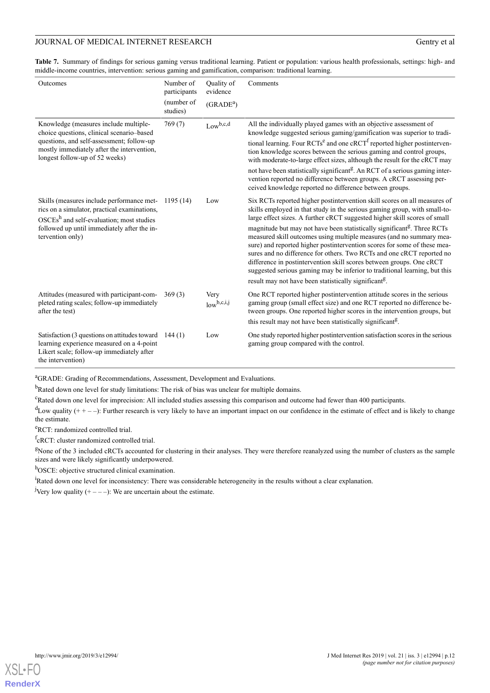<span id="page-11-0"></span>**Table 7.** Summary of findings for serious gaming versus traditional learning. Patient or population: various health professionals, settings: high- and middle-income countries, intervention: serious gaming and gamification, comparison: traditional learning.

| Outcomes                                                                                                                                                                      | Number of<br>participants | Quality of<br>evidence  | Comments                                                                                                                                                                                                                                                                                                                                                                                                                                                                                                                                    |
|-------------------------------------------------------------------------------------------------------------------------------------------------------------------------------|---------------------------|-------------------------|---------------------------------------------------------------------------------------------------------------------------------------------------------------------------------------------------------------------------------------------------------------------------------------------------------------------------------------------------------------------------------------------------------------------------------------------------------------------------------------------------------------------------------------------|
|                                                                                                                                                                               | (number of<br>studies)    | (GRADE <sup>a</sup> )   |                                                                                                                                                                                                                                                                                                                                                                                                                                                                                                                                             |
| Knowledge (measures include multiple-<br>choice questions, clinical scenario-based<br>questions, and self-assessment; follow-up<br>mostly immediately after the intervention, | 769(7)                    | $Low^{b,c,d}$           | All the individually played games with an objective assessment of<br>knowledge suggested serious gaming/gamification was superior to tradi-<br>tional learning. Four RCTs <sup>e</sup> and one cRCT <sup>f</sup> reported higher postinterven-<br>tion knowledge scores between the serious gaming and control groups,                                                                                                                                                                                                                      |
| longest follow-up of 52 weeks)                                                                                                                                                |                           |                         | with moderate-to-large effect sizes, although the result for the cRCT may                                                                                                                                                                                                                                                                                                                                                                                                                                                                   |
|                                                                                                                                                                               |                           |                         | not have been statistically significant <sup>g</sup> . An RCT of a serious gaming inter-<br>vention reported no difference between groups. A cRCT assessing per-<br>ceived knowledge reported no difference between groups.                                                                                                                                                                                                                                                                                                                 |
| Skills (measures include performance met-<br>rics on a simulator, practical examinations,<br>$OSCEsh$ and self-evaluation; most studies                                       | 1195(14)                  | Low                     | Six RCTs reported higher postintervention skill scores on all measures of<br>skills employed in that study in the serious gaming group, with small-to-<br>large effect sizes. A further cRCT suggested higher skill scores of small                                                                                                                                                                                                                                                                                                         |
| followed up until immediately after the in-<br>tervention only)                                                                                                               |                           |                         | magnitude but may not have been statistically significant <sup>g</sup> . Three RCTs<br>measured skill outcomes using multiple measures (and no summary mea-<br>sure) and reported higher postintervention scores for some of these mea-<br>sures and no difference for others. Two RCTs and one cRCT reported no<br>difference in postintervention skill scores between groups. One cRCT<br>suggested serious gaming may be inferior to traditional learning, but this<br>result may not have been statistically significant <sup>g</sup> . |
|                                                                                                                                                                               |                           |                         |                                                                                                                                                                                                                                                                                                                                                                                                                                                                                                                                             |
| Attitudes (measured with participant-com-<br>pleted rating scales; follow-up immediately<br>after the test)                                                                   | 369(3)                    | Very<br>$low^{b,c,i,j}$ | One RCT reported higher postintervention attitude scores in the serious<br>gaming group (small effect size) and one RCT reported no difference be-<br>tween groups. One reported higher scores in the intervention groups, but                                                                                                                                                                                                                                                                                                              |
|                                                                                                                                                                               |                           |                         | this result may not have been statistically significant <sup>8</sup> .                                                                                                                                                                                                                                                                                                                                                                                                                                                                      |
| Satisfaction (3 questions on attitudes toward<br>learning experience measured on a 4-point<br>Likert scale; follow-up immediately after<br>the intervention)                  | 144(1)                    | Low                     | One study reported higher postintervention satisfaction scores in the serious<br>gaming group compared with the control.                                                                                                                                                                                                                                                                                                                                                                                                                    |

<sup>a</sup>GRADE: Grading of Recommendations, Assessment, Development and Evaluations.

<sup>b</sup>Rated down one level for study limitations: The risk of bias was unclear for multiple domains.

<sup>c</sup>Rated down one level for imprecision: All included studies assessing this comparison and outcome had fewer than 400 participants.

 $d$ Low quality (+ + - -): Further research is very likely to have an important impact on our confidence in the estimate of effect and is likely to change the estimate.

<sup>e</sup>RCT: randomized controlled trial.

fcRCT: cluster randomized controlled trial.

<sup>g</sup>None of the 3 included cRCTs accounted for clustering in their analyses. They were therefore reanalyzed using the number of clusters as the sample sizes and were likely significantly underpowered.

h<sub>OSCE</sub>: objective structured clinical examination.

<sup>i</sup>Rated down one level for inconsistency: There was considerable heterogeneity in the results without a clear explanation.

<sup>j</sup>Very low quality  $(+---)$ : We are uncertain about the estimate.

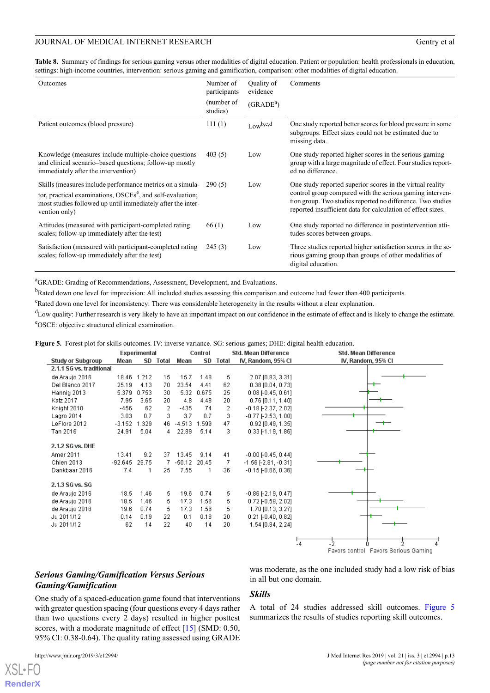<span id="page-12-0"></span>**Table 8.** Summary of findings for serious gaming versus other modalities of digital education. Patient or population: health professionals in education, settings: high-income countries, intervention: serious gaming and gamification, comparison: other modalities of digital education.

| <b>Outcomes</b>                                                                                                                                                                                                     | Number of<br>participants<br>(number of<br>studies) | <b>Ouality</b> of<br>evidence<br>(GRADE <sup>a</sup> ) | Comments                                                                                                                                                                                                                                            |
|---------------------------------------------------------------------------------------------------------------------------------------------------------------------------------------------------------------------|-----------------------------------------------------|--------------------------------------------------------|-----------------------------------------------------------------------------------------------------------------------------------------------------------------------------------------------------------------------------------------------------|
| Patient outcomes (blood pressure)                                                                                                                                                                                   | 111(1)                                              | $Low^{b,c,d}$                                          | One study reported better scores for blood pressure in some<br>subgroups. Effect sizes could not be estimated due to<br>missing data.                                                                                                               |
| Knowledge (measures include multiple-choice questions)<br>and clinical scenario-based questions; follow-up mostly<br>immediately after the intervention)                                                            | 403(5)                                              | Low                                                    | One study reported higher scores in the serious gaming<br>group with a large magnitude of effect. Four studies report-<br>ed no difference.                                                                                                         |
| Skills (measures include performance metrics on a simula-<br>tor, practical examinations, OSCEs <sup>e</sup> , and self-evaluation;<br>most studies followed up until immediately after the inter-<br>vention only) | 290(5)                                              | Low                                                    | One study reported superior scores in the virtual reality<br>control group compared with the serious gaming interven-<br>tion group. Two studies reported no difference. Two studies<br>reported insufficient data for calculation of effect sizes. |
| Attitudes (measured with participant-completed rating)<br>scales; follow-up immediately after the test)                                                                                                             | 66(1)                                               | Low                                                    | One study reported no difference in postintervention atti-<br>tudes scores between groups.                                                                                                                                                          |
| Satisfaction (measured with participant-completed rating<br>scales; follow-up immediately after the test)                                                                                                           | 245(3)                                              | Low                                                    | Three studies reported higher satisfaction scores in the se-<br>rious gaming group than groups of other modalities of<br>digital education.                                                                                                         |

<sup>a</sup>GRADE: Grading of Recommendations, Assessment, Development, and Evaluations.

<sup>b</sup>Rated down one level for imprecision: All included studies assessing this comparison and outcome had fewer than 400 participants.

<sup>c</sup>Rated down one level for inconsistency: There was considerable heterogeneity in the results without a clear explanation.

<span id="page-12-1"></span><sup>d</sup>Low quality: Further research is very likely to have an important impact on our confidence in the estimate of effect and is likely to change the estimate. <sup>e</sup>OSCE: objective structured clinical examination.

**Figure 5.** Forest plot for skills outcomes. IV: inverse variance. SG: serious games; DHE: digital health education.

|                                                              |                           | Experimental      |                |                           | Std. Mean Difference<br>Control |               |                                                                                        | <b>Std. Mean Difference</b>                        |
|--------------------------------------------------------------|---------------------------|-------------------|----------------|---------------------------|---------------------------------|---------------|----------------------------------------------------------------------------------------|----------------------------------------------------|
| <b>Study or Subgroup</b>                                     | Mean                      |                   | SD Total       | Mean                      | SD                              | Total         | IV, Random, 95% CI                                                                     | IV, Random, 95% CI                                 |
| 2.1.1 SG vs. traditional                                     |                           |                   |                |                           |                                 |               |                                                                                        |                                                    |
| de Araujo 2016                                               |                           | 18.46 1.212       | 15             | 15.7                      | 1.48                            | 5             | 2.07 [0.83, 3.31]                                                                      |                                                    |
| Del Blanco 2017                                              | 25.19                     | 4.13              | 70             | 23.54                     | 4.41                            | 62            | $0.38$ [0.04, 0.73]                                                                    |                                                    |
| Hannig 2013                                                  | 5.379                     | 0.753             | 30             | 5.32                      | 0.675                           | 25            | $0.08$ [-0.45, 0.61]                                                                   |                                                    |
| Katz 2017                                                    | 7.95                      | 3.65              | 20             | 4.8                       | 4.48                            | 20            | $0.76$ [0.11, 1.40]                                                                    |                                                    |
| Knight 2010                                                  | $-456$                    | 62                | 2              | $-435$                    | 74                              | 2             | $-0.18$ [ $-2.37$ , $2.02$ ]                                                           |                                                    |
| Lagro 2014                                                   | 3.03                      | 0.7               | 3.             | 3.7                       | 0.7                             | 3             | $-0.77$ [ $-2.53$ , 1.00]                                                              |                                                    |
| LeFlore 2012                                                 | $-3.152$                  | 1.329             | 46             | $-4.513$                  | 1.599                           | 47            | $0.92$ [0.49, 1.35]                                                                    |                                                    |
| Tan 2016                                                     | 24.91                     | 5.04              | 4              | 22.89                     | 5.14                            | 3             | $0.33$ [-1.19, 1.86]                                                                   |                                                    |
| 2.1.2 SG vs. DHE<br>Amer 2011<br>Chien 2013<br>Dankbaar 2016 | 13.41<br>$-92.645$<br>7.4 | 9.2<br>29.75<br>1 | 37<br>7.<br>25 | 13.45<br>$-50.12$<br>7.55 | 9.14<br>20.45<br>1              | 41<br>7<br>36 | $-0.00$ [ $-0.45$ , $0.44$ ]<br>$-1.56$ [-2.81, $-0.31$ ]<br>$-0.15$ [ $-0.66, 0.36$ ] |                                                    |
| 2.1.3 SG vs. SG                                              |                           |                   |                |                           |                                 |               |                                                                                        |                                                    |
| de Araujo 2016                                               | 18.5                      | 1.46              | 5.             | 19.6                      | 0.74                            | 5             | $-0.86$ [ $-2.19$ , $0.47$ ]                                                           |                                                    |
| de Araujo 2016                                               | 18.5                      | 1.46              | 5.             | 17.3                      | 1.56                            | 5             | $0.72$ [-0.59, 2.02]                                                                   |                                                    |
| de Araujo 2016                                               | 19.6                      | 0.74              | 5.             | 17.3                      | 1.56                            | 5             | 1.70 [0.13, 3.27]                                                                      |                                                    |
| Ju 2011/12                                                   | 0.14                      | 0.19              | 22             | 0.1                       | 0.18                            | 20            | $0.21$ [ $-0.40$ , $0.82$ ]                                                            |                                                    |
| Ju 2011/12                                                   | 62                        | 14                | 22             | 40                        | 14                              | 20            | 1.54 [0.84, 2.24]                                                                      |                                                    |
|                                                              |                           |                   |                |                           |                                 |               |                                                                                        | -5<br>$-4$<br>Favors control Favors Serious Gaming |

# *Serious Gaming/Gamification Versus Serious Gaming/Gamification*

One study of a spaced-education game found that interventions with greater question spacing (four questions every 4 days rather than two questions every 2 days) resulted in higher posttest scores, with a moderate magnitude of effect [\[15](#page-17-4)] (SMD: 0.50, 95% CI: 0.38-0.64). The quality rating assessed using GRADE

 $X$ SL•F $O$ **[RenderX](http://www.renderx.com/)** was moderate, as the one included study had a low risk of bias in all but one domain.

#### *Skills*

A total of 24 studies addressed skill outcomes. [Figure 5](#page-12-1) summarizes the results of studies reporting skill outcomes.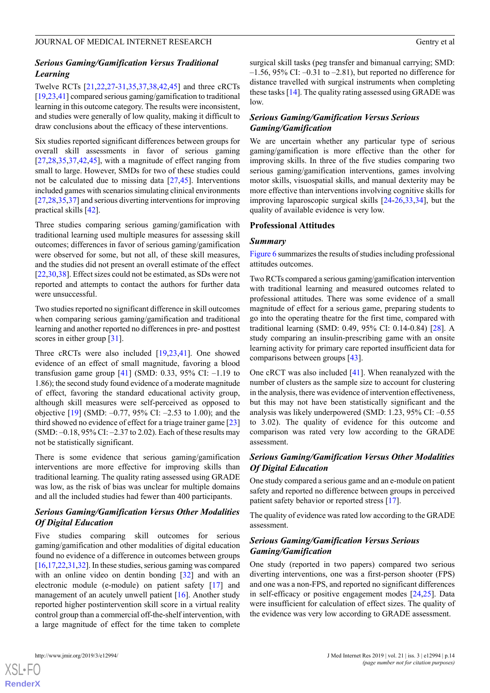# *Serious Gaming/Gamification Versus Traditional Learning*

Twelve RCTs [\[21](#page-17-17),[22,](#page-17-13)[27](#page-17-14)[-31](#page-17-7),[35](#page-18-11)[,37](#page-18-6),[38](#page-18-7)[,42](#page-18-2),[45\]](#page-18-4) and three cRCTs [[19,](#page-17-9)[23](#page-17-18),[41](#page-18-1)] compared serious gaming/gamification to traditional learning in this outcome category. The results were inconsistent, and studies were generally of low quality, making it difficult to draw conclusions about the efficacy of these interventions.

Six studies reported significant differences between groups for overall skill assessments in favor of serious gaming [[27](#page-17-14)[,28](#page-17-19),[35](#page-18-11)[,37](#page-18-6),[42](#page-18-2)[,45](#page-18-4)], with a magnitude of effect ranging from small to large. However, SMDs for two of these studies could not be calculated due to missing data [[27,](#page-17-14)[45](#page-18-4)]. Interventions included games with scenarios simulating clinical environments [[27](#page-17-14)[,28](#page-17-19),[35,](#page-18-11)[37](#page-18-6)] and serious diverting interventions for improving practical skills [\[42](#page-18-2)].

Three studies comparing serious gaming/gamification with traditional learning used multiple measures for assessing skill outcomes; differences in favor of serious gaming/gamification were observed for some, but not all, of these skill measures, and the studies did not present an overall estimate of the effect [[22](#page-17-13)[,30](#page-17-6),[38\]](#page-18-7). Effect sizes could not be estimated, as SDs were not reported and attempts to contact the authors for further data were unsuccessful.

Two studies reported no significant difference in skill outcomes when comparing serious gaming/gamification and traditional learning and another reported no differences in pre- and posttest scores in either group [[31\]](#page-17-7).

Three cRCTs were also included [[19](#page-17-9)[,23](#page-17-18),[41\]](#page-18-1). One showed evidence of an effect of small magnitude, favoring a blood transfusion game group  $[41]$  $[41]$  (SMD: 0.33, 95% CI: -1.19 to 1.86); the second study found evidence of a moderate magnitude of effect, favoring the standard educational activity group, although skill measures were self-perceived as opposed to objective  $[19]$  $[19]$  (SMD:  $-0.77$ , 95% CI:  $-2.53$  to 1.00); and the third showed no evidence of effect for a triage trainer game [\[23](#page-17-18)] (SMD: –0.18, 95% CI: –2.37 to 2.02). Each of these results may not be statistically significant.

There is some evidence that serious gaming/gamification interventions are more effective for improving skills than traditional learning. The quality rating assessed using GRADE was low, as the risk of bias was unclear for multiple domains and all the included studies had fewer than 400 participants.

# *Serious Gaming/Gamification Versus Other Modalities Of Digital Education*

Five studies comparing skill outcomes for serious gaming/gamification and other modalities of digital education found no evidence of a difference in outcomes between groups [[16,](#page-17-5)[17,](#page-17-8)[22](#page-17-13)[,31](#page-17-7)[,32](#page-18-10)]. In these studies, serious gaming was compared with an online video on dentin bonding [\[32](#page-18-10)] and with an electronic module (e-module) on patient safety [[17\]](#page-17-8) and management of an acutely unwell patient [[16\]](#page-17-5). Another study reported higher postintervention skill score in a virtual reality control group than a commercial off-the-shelf intervention, with a large magnitude of effect for the time taken to complete

surgical skill tasks (peg transfer and bimanual carrying; SMD:  $-1.56$ , 95% CI:  $-0.31$  to  $-2.81$ ), but reported no difference for distance travelled with surgical instruments when completing these tasks [\[14](#page-17-3)]. The quality rating assessed using GRADE was low.

# *Serious Gaming/Gamification Versus Serious Gaming/Gamification*

We are uncertain whether any particular type of serious gaming/gamification is more effective than the other for improving skills. In three of the five studies comparing two serious gaming/gamification interventions, games involving motor skills, visuospatial skills, and manual dexterity may be more effective than interventions involving cognitive skills for improving laparoscopic surgical skills [\[24](#page-17-11)-[26,](#page-17-12)[33](#page-18-12),[34\]](#page-18-13), but the quality of available evidence is very low.

# **Professional Attitudes**

# *Summary*

[Figure 6](#page-14-0) summarizes the results of studies including professional attitudes outcomes.

Two RCTs compared a serious gaming/gamification intervention with traditional learning and measured outcomes related to professional attitudes. There was some evidence of a small magnitude of effect for a serious game, preparing students to go into the operating theatre for the first time, compared with traditional learning (SMD: 0.49, 95% CI: 0.14-0.84) [\[28](#page-17-19)]. A study comparing an insulin-prescribing game with an onsite learning activity for primary care reported insufficient data for comparisons between groups [[43\]](#page-18-9).

One cRCT was also included [\[41](#page-18-1)]. When reanalyzed with the number of clusters as the sample size to account for clustering in the analysis, there was evidence of intervention effectiveness, but this may not have been statistically significant and the analysis was likely underpowered (SMD: 1.23, 95% CI: –0.55 to 3.02). The quality of evidence for this outcome and comparison was rated very low according to the GRADE assessment.

# *Serious Gaming/Gamification Versus Other Modalities Of Digital Education*

One study compared a serious game and an e-module on patient safety and reported no difference between groups in perceived patient safety behavior or reported stress [[17\]](#page-17-8).

The quality of evidence was rated low according to the GRADE assessment.

# *Serious Gaming/Gamification Versus Serious Gaming/Gamification*

One study (reported in two papers) compared two serious diverting interventions, one was a first-person shooter (FPS) and one was a non-FPS, and reported no significant differences in self-efficacy or positive engagement modes [[24,](#page-17-11)[25](#page-17-20)]. Data were insufficient for calculation of effect sizes. The quality of the evidence was very low according to GRADE assessment.

 $XS$  $\cdot$ FC **[RenderX](http://www.renderx.com/)**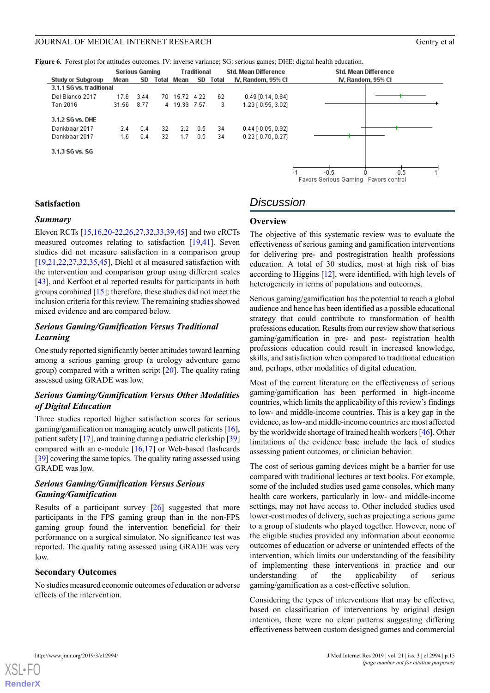<span id="page-14-0"></span>**Figure 6.** Forest plot for attitudes outcomes. IV: inverse variance; SG: serious games; DHE: digital health education.

|                          |       | <b>Serious Gaming</b> |    |               | <b>Traditional</b> |          | <b>Std. Mean Difference</b> | <b>Std. Mean Difference</b> |
|--------------------------|-------|-----------------------|----|---------------|--------------------|----------|-----------------------------|-----------------------------|
| Study or Subgroup        | Mean  | SD                    |    | Total Mean    |                    | SD Total | IV, Random, 95% CI          | IV, Random, 95% CI          |
| 3.1.1 SG vs. traditional |       |                       |    |               |                    |          |                             |                             |
| Del Blanco 2017          | 17.6  | 3.44                  |    | 70 15.72 4.22 |                    | -62      | $0.49$ [0.14, 0.84]         |                             |
| Tan 2016                 | 31.56 | 8.77                  |    | 4 19.39 7.57  |                    | з        | 1.23 [-0.55, 3.02]          |                             |
| 3.1.2 SG vs. DHE         |       |                       |    |               |                    |          |                             |                             |
| Dankbaar 2017            | 2.4   | 0.4                   | 32 | $2.2^{\circ}$ | 0.5                | -34      | $0.44$ [-0.05, 0.92]        |                             |
| Dankbaar 2017            | 1.6   | 0.4                   | 32 | 1.7           | 0.5                | 34       | $-0.22$ $[-0.70, 0.27]$     |                             |
| 3.1.3 SG vs. SG          |       |                       |    |               |                    |          |                             |                             |
|                          |       |                       |    |               |                    |          |                             |                             |
|                          |       |                       |    |               |                    |          |                             | Е.<br>O'E.                  |



# **Satisfaction**

#### *Summary*

Eleven RCTs [\[15](#page-17-4),[16,](#page-17-5)[20](#page-17-10)-[22,](#page-17-13)[26](#page-17-12)[,27](#page-17-14),[32,](#page-18-10)[33,](#page-18-12)[39](#page-18-5)[,45](#page-18-4)] and two cRCTs measured outcomes relating to satisfaction [\[19](#page-17-9),[41\]](#page-18-1). Seven studies did not measure satisfaction in a comparison group [[19](#page-17-9)[,21](#page-17-17),[22](#page-17-13)[,27](#page-17-14),[32](#page-18-10)[,35](#page-18-11),[45\]](#page-18-4), Diehl et al measured satisfaction with the intervention and comparison group using different scales [[43\]](#page-18-9), and Kerfoot et al reported results for participants in both groups combined [[15\]](#page-17-4); therefore, these studies did not meet the inclusion criteria for this review. The remaining studies showed mixed evidence and are compared below.

# *Serious Gaming/Gamification Versus Traditional Learning*

One study reported significantly better attitudes toward learning among a serious gaming group (a urology adventure game group) compared with a written script [\[20](#page-17-10)]. The quality rating assessed using GRADE was low.

# *Serious Gaming/Gamification Versus Other Modalities of Digital Education*

Three studies reported higher satisfaction scores for serious gaming/gamification on managing acutely unwell patients [[16\]](#page-17-5), patient safety [\[17\]](#page-17-8), and training during a pediatric clerkship [\[39](#page-18-5)] compared with an e-module  $[16,17]$  $[16,17]$  $[16,17]$  or Web-based flashcards [[39\]](#page-18-5) covering the same topics. The quality rating assessed using GRADE was low.

# *Serious Gaming/Gamification Versus Serious Gaming/Gamification*

Results of a participant survey [\[26](#page-17-12)] suggested that more participants in the FPS gaming group than in the non-FPS gaming group found the intervention beneficial for their performance on a surgical simulator. No significance test was reported. The quality rating assessed using GRADE was very low.

#### **Secondary Outcomes**

No studies measured economic outcomes of education or adverse effects of the intervention.

# *Discussion*

#### **Overview**

The objective of this systematic review was to evaluate the effectiveness of serious gaming and gamification interventions for delivering pre- and postregistration health professions education. A total of 30 studies, most at high risk of bias according to Higgins [[12\]](#page-17-1), were identified, with high levels of heterogeneity in terms of populations and outcomes.

Serious gaming/gamification has the potential to reach a global audience and hence has been identified as a possible educational strategy that could contribute to transformation of health professions education. Results from our review show that serious gaming/gamification in pre- and post- registration health professions education could result in increased knowledge, skills, and satisfaction when compared to traditional education and, perhaps, other modalities of digital education.

Most of the current literature on the effectiveness of serious gaming/gamification has been performed in high-income countries, which limits the applicability of this review's findings to low- and middle-income countries. This is a key gap in the evidence, as low-and middle-income countries are most affected by the worldwide shortage of trained health workers [\[46](#page-18-14)]. Other limitations of the evidence base include the lack of studies assessing patient outcomes, or clinician behavior.

The cost of serious gaming devices might be a barrier for use compared with traditional lectures or text books. For example, some of the included studies used game consoles, which many health care workers, particularly in low- and middle-income settings, may not have access to. Other included studies used lower-cost modes of delivery, such as projecting a serious game to a group of students who played together. However, none of the eligible studies provided any information about economic outcomes of education or adverse or unintended effects of the intervention, which limits our understanding of the feasibility of implementing these interventions in practice and our understanding of the applicability of serious gaming/gamification as a cost-effective solution.

Considering the types of interventions that may be effective, based on classification of interventions by original design intention, there were no clear patterns suggesting differing effectiveness between custom designed games and commercial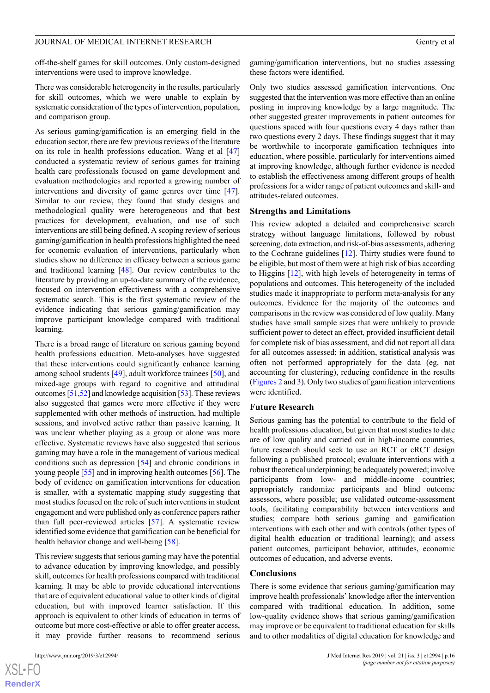off-the-shelf games for skill outcomes. Only custom-designed interventions were used to improve knowledge.

There was considerable heterogeneity in the results, particularly for skill outcomes, which we were unable to explain by systematic consideration of the types of intervention, population, and comparison group.

As serious gaming/gamification is an emerging field in the education sector, there are few previous reviews of the literature on its role in health professions education. Wang et al [\[47](#page-18-15)] conducted a systematic review of serious games for training health care professionals focused on game development and evaluation methodologies and reported a growing number of interventions and diversity of game genres over time [[47\]](#page-18-15). Similar to our review, they found that study designs and methodological quality were heterogeneous and that best practices for development, evaluation, and use of such interventions are still being defined. A scoping review of serious gaming/gamification in health professions highlighted the need for economic evaluation of interventions, particularly when studies show no difference in efficacy between a serious game and traditional learning [\[48](#page-18-16)]. Our review contributes to the literature by providing an up-to-date summary of the evidence, focused on intervention effectiveness with a comprehensive systematic search. This is the first systematic review of the evidence indicating that serious gaming/gamification may improve participant knowledge compared with traditional learning.

There is a broad range of literature on serious gaming beyond health professions education. Meta-analyses have suggested that these interventions could significantly enhance learning among school students [[49\]](#page-18-17), adult workforce trainees [\[50](#page-18-18)], and mixed-age groups with regard to cognitive and attitudinal outcomes [[51](#page-18-19),[52\]](#page-18-20) and knowledge acquisition [\[53](#page-18-21)]. These reviews also suggested that games were more effective if they were supplemented with other methods of instruction, had multiple sessions, and involved active rather than passive learning. It was unclear whether playing as a group or alone was more effective. Systematic reviews have also suggested that serious gaming may have a role in the management of various medical conditions such as depression [[54\]](#page-18-22) and chronic conditions in young people [[55\]](#page-19-0) and in improving health outcomes [\[56](#page-19-1)]. The body of evidence on gamification interventions for education is smaller, with a systematic mapping study suggesting that most studies focused on the role of such interventions in student engagement and were published only as conference papers rather than full peer-reviewed articles [[57\]](#page-19-2). A systematic review identified some evidence that gamification can be beneficial for health behavior change and well-being [\[58](#page-19-3)].

This review suggests that serious gaming may have the potential to advance education by improving knowledge, and possibly skill, outcomes for health professions compared with traditional learning. It may be able to provide educational interventions that are of equivalent educational value to other kinds of digital education, but with improved learner satisfaction. If this approach is equivalent to other kinds of education in terms of outcome but more cost-effective or able to offer greater access, it may provide further reasons to recommend serious

gaming/gamification interventions, but no studies assessing these factors were identified.

Only two studies assessed gamification interventions. One suggested that the intervention was more effective than an online posting in improving knowledge by a large magnitude. The other suggested greater improvements in patient outcomes for questions spaced with four questions every 4 days rather than two questions every 2 days. These findings suggest that it may be worthwhile to incorporate gamification techniques into education, where possible, particularly for interventions aimed at improving knowledge, although further evidence is needed to establish the effectiveness among different groups of health professions for a wider range of patient outcomes and skill- and attitudes-related outcomes.

#### **Strengths and Limitations**

This review adopted a detailed and comprehensive search strategy without language limitations, followed by robust screening, data extraction, and risk-of-bias assessments, adhering to the Cochrane guidelines [\[12](#page-17-1)]. Thirty studies were found to be eligible, but most of them were at high risk of bias according to Higgins [\[12](#page-17-1)], with high levels of heterogeneity in terms of populations and outcomes. This heterogeneity of the included studies made it inappropriate to perform meta-analysis for any outcomes. Evidence for the majority of the outcomes and comparisons in the review was considered of low quality. Many studies have small sample sizes that were unlikely to provide sufficient power to detect an effect, provided insufficient detail for complete risk of bias assessment, and did not report all data for all outcomes assessed; in addition, statistical analysis was often not performed appropriately for the data (eg, not accounting for clustering), reducing confidence in the results ([Figures 2](#page-8-0) and [3\)](#page-9-0). Only two studies of gamification interventions were identified.

#### **Future Research**

Serious gaming has the potential to contribute to the field of health professions education, but given that most studies to date are of low quality and carried out in high-income countries, future research should seek to use an RCT or cRCT design following a published protocol; evaluate interventions with a robust theoretical underpinning; be adequately powered; involve participants from low- and middle-income countries; appropriately randomize participants and blind outcome assessors, where possible; use validated outcome-assessment tools, facilitating comparability between interventions and studies; compare both serious gaming and gamification interventions with each other and with controls (other types of digital health education or traditional learning); and assess patient outcomes, participant behavior, attitudes, economic outcomes of education, and adverse events.

#### **Conclusions**

There is some evidence that serious gaming/gamification may improve health professionals' knowledge after the intervention compared with traditional education. In addition, some low-quality evidence shows that serious gaming/gamification may improve or be equivalent to traditional education for skills and to other modalities of digital education for knowledge and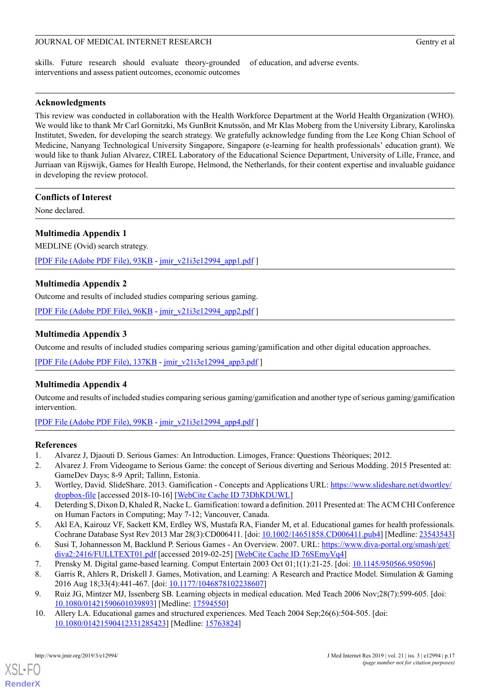skills. Future research should evaluate theory-grounded interventions and assess patient outcomes, economic outcomes

of education, and adverse events.

# **Acknowledgments**

This review was conducted in collaboration with the Health Workforce Department at the World Health Organization (WHO). We would like to thank Mr Carl Gornitzki, Ms GunBrit Knutssön, and Mr Klas Moberg from the University Library, Karolinska Institutet, Sweden, for developing the search strategy. We gratefully acknowledge funding from the Lee Kong Chian School of Medicine, Nanyang Technological University Singapore, Singapore (e-learning for health professionals' education grant). We would like to thank Julian Alvarez, CIREL Laboratory of the Educational Science Department, University of Lille, France, and Jurriaan van Rijswijk, Games for Health Europe, Helmond, the Netherlands, for their content expertise and invaluable guidance in developing the review protocol.

# **Conflicts of Interest**

<span id="page-16-10"></span>None declared.

# **Multimedia Appendix 1**

MEDLINE (Ovid) search strategy.

<span id="page-16-11"></span>[[PDF File \(Adobe PDF File\), 93KB](https://www.jmir.org/article/downloadSuppFile/12994/95244) - [jmir\\_v21i3e12994\\_app1.pdf](https://www.jmir.org/article/downloadSuppFile/12994/95244) ]

# **Multimedia Appendix 2**

Outcome and results of included studies comparing serious gaming.

[[PDF File \(Adobe PDF File\), 96KB](https://www.jmir.org/article/downloadSuppFile/12994/95245) - [jmir\\_v21i3e12994\\_app2.pdf](https://www.jmir.org/article/downloadSuppFile/12994/95245) ]

# **Multimedia Appendix 3**

<span id="page-16-12"></span>Outcome and results of included studies comparing serious gaming/gamification and other digital education approaches.

[[PDF File \(Adobe PDF File\), 137KB](https://www.jmir.org/article/downloadSuppFile/12994/95246) - [jmir\\_v21i3e12994\\_app3.pdf](https://www.jmir.org/article/downloadSuppFile/12994/95246) ]

# **Multimedia Appendix 4**

<span id="page-16-0"></span>Outcome and results of included studies comparing serious gaming/gamification and another type of serious gaming/gamification intervention.

<span id="page-16-1"></span>[[PDF File \(Adobe PDF File\), 99KB](https://www.jmir.org/article/downloadSuppFile/12994/95247) - [jmir\\_v21i3e12994\\_app4.pdf](https://www.jmir.org/article/downloadSuppFile/12994/95247) ]

# <span id="page-16-2"></span>**References**

- <span id="page-16-3"></span>1. Alvarez J, Djaouti D. Serious Games: An Introduction. Limoges, France: Questions Théoriques; 2012.
- <span id="page-16-4"></span>2. Alvarez J. From Videogame to Serious Game: the concept of Serious diverting and Serious Modding. 2015 Presented at: GameDev Days; 8-9 April; Tallinn, Estonia.
- <span id="page-16-5"></span>3. Wortley, David. SlideShare. 2013. Gamification - Concepts and Applications URL: [https://www.slideshare.net/dwortley/](https://www.slideshare.net/dwortley/dropbox-file) [dropbox-file](https://www.slideshare.net/dwortley/dropbox-file) [accessed 2018-10-16] [[WebCite Cache ID 73DhKDUWL\]](http://www.webcitation.org/73DhKDUWL)
- <span id="page-16-6"></span>4. Deterding S, Dixon D, Khaled R, Nacke L. Gamification: toward a definition. 2011 Presented at: The ACM CHI Conference on Human Factors in Computing; May 7-12; Vancouver, Canada.
- <span id="page-16-7"></span>5. Akl EA, Kairouz VF, Sackett KM, Erdley WS, Mustafa RA, Fiander M, et al. Educational games for health professionals. Cochrane Database Syst Rev 2013 Mar 28(3):CD006411. [doi: [10.1002/14651858.CD006411.pub4](http://dx.doi.org/10.1002/14651858.CD006411.pub4)] [Medline: [23543543](http://www.ncbi.nlm.nih.gov/entrez/query.fcgi?cmd=Retrieve&db=PubMed&list_uids=23543543&dopt=Abstract)]
- <span id="page-16-9"></span><span id="page-16-8"></span>6. Susi T, Johannesson M, Backlund P. Serious Games - An Overview. 2007. URL: [https://www.diva-portal.org/smash/get/](https://www.diva-portal.org/smash/get/diva2:2416/FULLTEXT01.pdf) [diva2:2416/FULLTEXT01.pdf](https://www.diva-portal.org/smash/get/diva2:2416/FULLTEXT01.pdf) [accessed 2019-02-25] [[WebCite Cache ID 76SEmyVq4](http://www.webcitation.org/76SEmyVq4)]
- 7. Prensky M. Digital game-based learning. Comput Entertain 2003 Oct 01;1(1):21-25. [doi: [10.1145/950566.950596\]](http://dx.doi.org/10.1145/950566.950596)
- 8. Garris R, Ahlers R, Driskell J. Games, Motivation, and Learning: A Research and Practice Model. Simulation & Gaming 2016 Aug 18;33(4):441-467. [doi: [10.1177/1046878102238607](http://dx.doi.org/10.1177/1046878102238607)]
- 9. Ruiz JG, Mintzer MJ, Issenberg SB. Learning objects in medical education. Med Teach 2006 Nov;28(7):599-605. [doi: [10.1080/01421590601039893\]](http://dx.doi.org/10.1080/01421590601039893) [Medline: [17594550](http://www.ncbi.nlm.nih.gov/entrez/query.fcgi?cmd=Retrieve&db=PubMed&list_uids=17594550&dopt=Abstract)]
- 10. Allery LA. Educational games and structured experiences. Med Teach 2004 Sep;26(6):504-505. [doi: [10.1080/01421590412331285423\]](http://dx.doi.org/10.1080/01421590412331285423) [Medline: [15763824\]](http://www.ncbi.nlm.nih.gov/entrez/query.fcgi?cmd=Retrieve&db=PubMed&list_uids=15763824&dopt=Abstract)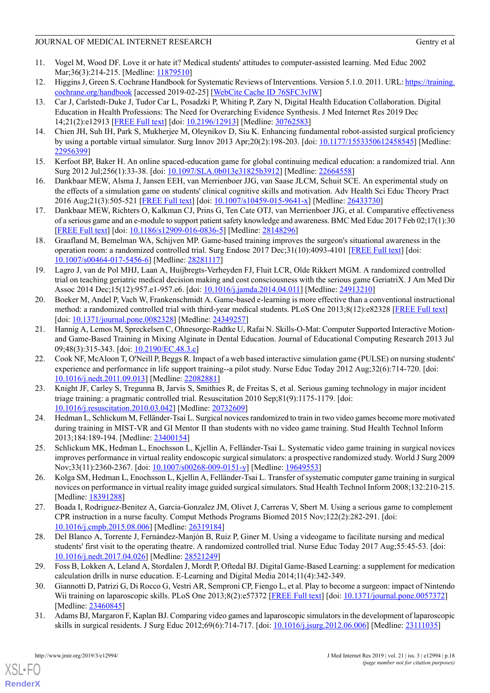- <span id="page-17-0"></span>11. Vogel M, Wood DF. Love it or hate it? Medical students' attitudes to computer-assisted learning. Med Educ 2002 Mar; 36(3): 214-215. [Medline: [11879510](http://www.ncbi.nlm.nih.gov/entrez/query.fcgi?cmd=Retrieve&db=PubMed&list_uids=11879510&dopt=Abstract)]
- <span id="page-17-2"></span><span id="page-17-1"></span>12. Higgins J, Green S. Cochrane Handbook for Systematic Reviews of Interventions. Version 5.1.0. 2011. URL: [https://training.](https://training.cochrane.org/handbook) [cochrane.org/handbook](https://training.cochrane.org/handbook) [accessed 2019-02-25] [[WebCite Cache ID 76SFC3vIW\]](http://www.webcitation.org/76SFC3vIW)
- 13. Car J, Carlstedt-Duke J, Tudor Car L, Posadzki P, Whiting P, Zary N, Digital Health Education Collaboration. Digital Education in Health Professions: The Need for Overarching Evidence Synthesis. J Med Internet Res 2019 Dec 14;21(2):e12913 [[FREE Full text\]](http://www.jmir.org/2019/2/e12913/) [doi: [10.2196/12913\]](http://dx.doi.org/10.2196/12913) [Medline: [30762583\]](http://www.ncbi.nlm.nih.gov/entrez/query.fcgi?cmd=Retrieve&db=PubMed&list_uids=30762583&dopt=Abstract)
- <span id="page-17-4"></span><span id="page-17-3"></span>14. Chien JH, Suh IH, Park S, Mukherjee M, Oleynikov D, Siu K. Enhancing fundamental robot-assisted surgical proficiency by using a portable virtual simulator. Surg Innov 2013 Apr;20(2):198-203. [doi: [10.1177/1553350612458545\]](http://dx.doi.org/10.1177/1553350612458545) [Medline: [22956399](http://www.ncbi.nlm.nih.gov/entrez/query.fcgi?cmd=Retrieve&db=PubMed&list_uids=22956399&dopt=Abstract)]
- <span id="page-17-5"></span>15. Kerfoot BP, Baker H. An online spaced-education game for global continuing medical education: a randomized trial. Ann Surg 2012 Jul;256(1):33-38. [doi: [10.1097/SLA.0b013e31825b3912\]](http://dx.doi.org/10.1097/SLA.0b013e31825b3912) [Medline: [22664558\]](http://www.ncbi.nlm.nih.gov/entrez/query.fcgi?cmd=Retrieve&db=PubMed&list_uids=22664558&dopt=Abstract)
- <span id="page-17-8"></span>16. Dankbaar MEW, Alsma J, Jansen EEH, van Merrienboer JJG, van Saase JLCM, Schuit SCE. An experimental study on the effects of a simulation game on students' clinical cognitive skills and motivation. Adv Health Sci Educ Theory Pract 2016 Aug;21(3):505-521 [[FREE Full text](http://europepmc.org/abstract/MED/26433730)] [doi: [10.1007/s10459-015-9641-x](http://dx.doi.org/10.1007/s10459-015-9641-x)] [Medline: [26433730](http://www.ncbi.nlm.nih.gov/entrez/query.fcgi?cmd=Retrieve&db=PubMed&list_uids=26433730&dopt=Abstract)]
- <span id="page-17-16"></span>17. Dankbaar MEW, Richters O, Kalkman CJ, Prins G, Ten Cate OTJ, van Merrienboer JJG, et al. Comparative effectiveness of a serious game and an e-module to support patient safety knowledge and awareness. BMC Med Educ 2017 Feb 02;17(1):30 [[FREE Full text](https://bmcmededuc.biomedcentral.com/articles/10.1186/s12909-016-0836-5)] [doi: [10.1186/s12909-016-0836-5](http://dx.doi.org/10.1186/s12909-016-0836-5)] [Medline: [28148296](http://www.ncbi.nlm.nih.gov/entrez/query.fcgi?cmd=Retrieve&db=PubMed&list_uids=28148296&dopt=Abstract)]
- <span id="page-17-9"></span>18. Graafland M, Bemelman WA, Schijven MP. Game-based training improves the surgeon's situational awareness in the operation room: a randomized controlled trial. Surg Endosc 2017 Dec;31(10):4093-4101 [[FREE Full text](http://europepmc.org/abstract/MED/28281117)] [doi: [10.1007/s00464-017-5456-6\]](http://dx.doi.org/10.1007/s00464-017-5456-6) [Medline: [28281117\]](http://www.ncbi.nlm.nih.gov/entrez/query.fcgi?cmd=Retrieve&db=PubMed&list_uids=28281117&dopt=Abstract)
- <span id="page-17-10"></span>19. Lagro J, van de Pol MHJ, Laan A, Huijbregts-Verheyden FJ, Fluit LCR, Olde Rikkert MGM. A randomized controlled trial on teaching geriatric medical decision making and cost consciousness with the serious game GeriatriX. J Am Med Dir Assoc 2014 Dec;15(12):957.e1-957.e6. [doi: [10.1016/j.jamda.2014.04.011\]](http://dx.doi.org/10.1016/j.jamda.2014.04.011) [Medline: [24913210\]](http://www.ncbi.nlm.nih.gov/entrez/query.fcgi?cmd=Retrieve&db=PubMed&list_uids=24913210&dopt=Abstract)
- <span id="page-17-17"></span>20. Boeker M, Andel P, Vach W, Frankenschmidt A. Game-based e-learning is more effective than a conventional instructional method: a randomized controlled trial with third-year medical students. PLoS One 2013;8(12):e82328 [\[FREE Full text\]](http://dx.plos.org/10.1371/journal.pone.0082328) [doi: [10.1371/journal.pone.0082328\]](http://dx.doi.org/10.1371/journal.pone.0082328) [Medline: [24349257\]](http://www.ncbi.nlm.nih.gov/entrez/query.fcgi?cmd=Retrieve&db=PubMed&list_uids=24349257&dopt=Abstract)
- <span id="page-17-13"></span>21. Hannig A, Lemos M, Spreckelsen C, Ohnesorge-Radtke U, Rafai N. Skills-O-Mat: Computer Supported Interactive Motionand Game-Based Training in Mixing Alginate in Dental Education. Journal of Educational Computing Research 2013 Jul 09;48(3):315-343. [doi: [10.2190/EC.48.3.c](http://dx.doi.org/10.2190/EC.48.3.c)]
- <span id="page-17-18"></span>22. Cook NF, McAloon T, O'Neill P, Beggs R. Impact of a web based interactive simulation game (PULSE) on nursing students' experience and performance in life support training--a pilot study. Nurse Educ Today 2012 Aug;32(6):714-720. [doi: [10.1016/j.nedt.2011.09.013](http://dx.doi.org/10.1016/j.nedt.2011.09.013)] [Medline: [22082881](http://www.ncbi.nlm.nih.gov/entrez/query.fcgi?cmd=Retrieve&db=PubMed&list_uids=22082881&dopt=Abstract)]
- <span id="page-17-11"></span>23. Knight JF, Carley S, Tregunna B, Jarvis S, Smithies R, de Freitas S, et al. Serious gaming technology in major incident triage training: a pragmatic controlled trial. Resuscitation 2010 Sep;81(9):1175-1179. [doi: [10.1016/j.resuscitation.2010.03.042](http://dx.doi.org/10.1016/j.resuscitation.2010.03.042)] [Medline: [20732609\]](http://www.ncbi.nlm.nih.gov/entrez/query.fcgi?cmd=Retrieve&db=PubMed&list_uids=20732609&dopt=Abstract)
- <span id="page-17-20"></span><span id="page-17-12"></span>24. Hedman L, Schlickum M, Felländer-Tsai L. Surgical novices randomized to train in two video games become more motivated during training in MIST-VR and GI Mentor II than students with no video game training. Stud Health Technol Inform 2013;184:189-194. [Medline: [23400154](http://www.ncbi.nlm.nih.gov/entrez/query.fcgi?cmd=Retrieve&db=PubMed&list_uids=23400154&dopt=Abstract)]
- <span id="page-17-14"></span>25. Schlickum MK, Hedman L, Enochsson L, Kjellin A, Felländer-Tsai L. Systematic video game training in surgical novices improves performance in virtual reality endoscopic surgical simulators: a prospective randomized study. World J Surg 2009 Nov;33(11):2360-2367. [doi: [10.1007/s00268-009-0151-y](http://dx.doi.org/10.1007/s00268-009-0151-y)] [Medline: [19649553](http://www.ncbi.nlm.nih.gov/entrez/query.fcgi?cmd=Retrieve&db=PubMed&list_uids=19649553&dopt=Abstract)]
- <span id="page-17-19"></span>26. Kolga SM, Hedman L, Enochsson L, Kjellin A, Felländer-Tsai L. Transfer of systematic computer game training in surgical novices on performance in virtual reality image guided surgical simulators. Stud Health Technol Inform 2008;132:210-215. [Medline: [18391288](http://www.ncbi.nlm.nih.gov/entrez/query.fcgi?cmd=Retrieve&db=PubMed&list_uids=18391288&dopt=Abstract)]
- <span id="page-17-15"></span>27. Boada I, Rodriguez-Benitez A, Garcia-Gonzalez JM, Olivet J, Carreras V, Sbert M. Using a serious game to complement CPR instruction in a nurse faculty. Comput Methods Programs Biomed 2015 Nov;122(2):282-291. [doi: [10.1016/j.cmpb.2015.08.006\]](http://dx.doi.org/10.1016/j.cmpb.2015.08.006) [Medline: [26319184\]](http://www.ncbi.nlm.nih.gov/entrez/query.fcgi?cmd=Retrieve&db=PubMed&list_uids=26319184&dopt=Abstract)
- <span id="page-17-6"></span>28. Del Blanco A, Torrente J, Fernández-Manjón B, Ruiz P, Giner M. Using a videogame to facilitate nursing and medical students' first visit to the operating theatre. A randomized controlled trial. Nurse Educ Today 2017 Aug;55:45-53. [doi: [10.1016/j.nedt.2017.04.026\]](http://dx.doi.org/10.1016/j.nedt.2017.04.026) [Medline: [28521249](http://www.ncbi.nlm.nih.gov/entrez/query.fcgi?cmd=Retrieve&db=PubMed&list_uids=28521249&dopt=Abstract)]
- <span id="page-17-7"></span>29. Foss B, Lokken A, Leland A, Stordalen J, Mordt P, Oftedal BJ. Digital Game-Based Learning: a supplement for medication calculation drills in nurse education. E-Learning and Digital Media 2014;11(4):342-349.
- 30. Giannotti D, Patrizi G, Di Rocco G, Vestri AR, Semproni CP, Fiengo L, et al. Play to become a surgeon: impact of Nintendo Wii training on laparoscopic skills. PLoS One 2013;8(2):e57372 [\[FREE Full text](http://dx.plos.org/10.1371/journal.pone.0057372)] [doi: [10.1371/journal.pone.0057372\]](http://dx.doi.org/10.1371/journal.pone.0057372) [Medline: [23460845](http://www.ncbi.nlm.nih.gov/entrez/query.fcgi?cmd=Retrieve&db=PubMed&list_uids=23460845&dopt=Abstract)]
- 31. Adams BJ, Margaron F, Kaplan BJ. Comparing video games and laparoscopic simulators in the development of laparoscopic skills in surgical residents. J Surg Educ 2012;69(6):714-717. [doi: [10.1016/j.jsurg.2012.06.006](http://dx.doi.org/10.1016/j.jsurg.2012.06.006)] [Medline: [23111035](http://www.ncbi.nlm.nih.gov/entrez/query.fcgi?cmd=Retrieve&db=PubMed&list_uids=23111035&dopt=Abstract)]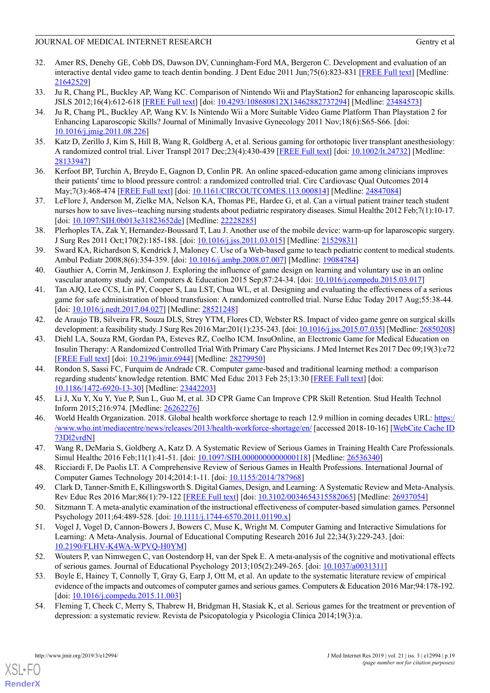- <span id="page-18-10"></span>32. Amer RS, Denehy GE, Cobb DS, Dawson DV, Cunningham-Ford MA, Bergeron C. Development and evaluation of an interactive dental video game to teach dentin bonding. J Dent Educ 2011 Jun;75(6):823-831 [[FREE Full text](http://www.jdentaled.org/cgi/pmidlookup?view=long&pmid=21642529)] [Medline: [21642529](http://www.ncbi.nlm.nih.gov/entrez/query.fcgi?cmd=Retrieve&db=PubMed&list_uids=21642529&dopt=Abstract)]
- <span id="page-18-13"></span><span id="page-18-12"></span>33. Ju R, Chang PL, Buckley AP, Wang KC. Comparison of Nintendo Wii and PlayStation2 for enhancing laparoscopic skills. JSLS 2012;16(4):612-618 [\[FREE Full text\]](http://europepmc.org/abstract/MED/23484573) [doi: [10.4293/108680812X13462882737294\]](http://dx.doi.org/10.4293/108680812X13462882737294) [Medline: [23484573](http://www.ncbi.nlm.nih.gov/entrez/query.fcgi?cmd=Retrieve&db=PubMed&list_uids=23484573&dopt=Abstract)]
- 34. Ju R, Chang PL, Buckley AP, Wang KV. Is Nintendo Wii a More Suitable Video Game Platform Than Playstation 2 for Enhancing Laparoscopic Skills? Journal of Minimally Invasive Gynecology 2011 Nov;18(6):S65-S66. [doi: [10.1016/j.jmig.2011.08.226\]](http://dx.doi.org/10.1016/j.jmig.2011.08.226)
- <span id="page-18-11"></span><span id="page-18-8"></span>35. Katz D, Zerillo J, Kim S, Hill B, Wang R, Goldberg A, et al. Serious gaming for orthotopic liver transplant anesthesiology: A randomized control trial. Liver Transpl 2017 Dec;23(4):430-439 [[FREE Full text\]](https://doi.org/10.1002/lt.24732) [doi: [10.1002/lt.24732\]](http://dx.doi.org/10.1002/lt.24732) [Medline: [28133947](http://www.ncbi.nlm.nih.gov/entrez/query.fcgi?cmd=Retrieve&db=PubMed&list_uids=28133947&dopt=Abstract)]
- <span id="page-18-6"></span>36. Kerfoot BP, Turchin A, Breydo E, Gagnon D, Conlin PR. An online spaced-education game among clinicians improves their patients' time to blood pressure control: a randomized controlled trial. Circ Cardiovasc Qual Outcomes 2014 May;7(3):468-474 [\[FREE Full text\]](http://europepmc.org/abstract/MED/24847084) [doi: [10.1161/CIRCOUTCOMES.113.000814\]](http://dx.doi.org/10.1161/CIRCOUTCOMES.113.000814) [Medline: [24847084](http://www.ncbi.nlm.nih.gov/entrez/query.fcgi?cmd=Retrieve&db=PubMed&list_uids=24847084&dopt=Abstract)]
- <span id="page-18-7"></span>37. LeFlore J, Anderson M, Zielke MA, Nelson KA, Thomas PE, Hardee G, et al. Can a virtual patient trainer teach student nurses how to save lives--teaching nursing students about pediatric respiratory diseases. Simul Healthc 2012 Feb;7(1):10-17. [doi: [10.1097/SIH.0b013e31823652de\]](http://dx.doi.org/10.1097/SIH.0b013e31823652de) [Medline: [22228285](http://www.ncbi.nlm.nih.gov/entrez/query.fcgi?cmd=Retrieve&db=PubMed&list_uids=22228285&dopt=Abstract)]
- <span id="page-18-5"></span>38. Plerhoples TA, Zak Y, Hernandez-Boussard T, Lau J. Another use of the mobile device: warm-up for laparoscopic surgery. J Surg Res 2011 Oct;170(2):185-188. [doi: [10.1016/j.jss.2011.03.015](http://dx.doi.org/10.1016/j.jss.2011.03.015)] [Medline: [21529831\]](http://www.ncbi.nlm.nih.gov/entrez/query.fcgi?cmd=Retrieve&db=PubMed&list_uids=21529831&dopt=Abstract)
- <span id="page-18-0"></span>39. Sward KA, Richardson S, Kendrick J, Maloney C. Use of a Web-based game to teach pediatric content to medical students. Ambul Pediatr 2008;8(6):354-359. [doi: [10.1016/j.ambp.2008.07.007\]](http://dx.doi.org/10.1016/j.ambp.2008.07.007) [Medline: [19084784](http://www.ncbi.nlm.nih.gov/entrez/query.fcgi?cmd=Retrieve&db=PubMed&list_uids=19084784&dopt=Abstract)]
- <span id="page-18-1"></span>40. Gauthier A, Corrin M, Jenkinson J. Exploring the influence of game design on learning and voluntary use in an online vascular anatomy study aid. Computers & Education 2015 Sep;87:24-34. [doi: [10.1016/j.compedu.2015.03.017\]](http://dx.doi.org/10.1016/j.compedu.2015.03.017)
- <span id="page-18-2"></span>41. Tan AJQ, Lee CCS, Lin PY, Cooper S, Lau LST, Chua WL, et al. Designing and evaluating the effectiveness of a serious game for safe administration of blood transfusion: A randomized controlled trial. Nurse Educ Today 2017 Aug;55:38-44. [doi: [10.1016/j.nedt.2017.04.027](http://dx.doi.org/10.1016/j.nedt.2017.04.027)] [Medline: [28521248\]](http://www.ncbi.nlm.nih.gov/entrez/query.fcgi?cmd=Retrieve&db=PubMed&list_uids=28521248&dopt=Abstract)
- <span id="page-18-9"></span>42. de Araujo TB, Silveira FR, Souza DLS, Strey YTM, Flores CD, Webster RS. Impact of video game genre on surgical skills development: a feasibility study. J Surg Res 2016 Mar; 201(1): 235-243. [doi: 10.1016/j.jss. 2015.07.035] [Medline: [26850208\]](http://www.ncbi.nlm.nih.gov/entrez/query.fcgi?cmd=Retrieve&db=PubMed&list_uids=26850208&dopt=Abstract)
- <span id="page-18-3"></span>43. Diehl LA, Souza RM, Gordan PA, Esteves RZ, Coelho ICM. InsuOnline, an Electronic Game for Medical Education on Insulin Therapy: A Randomized Controlled Trial With Primary Care Physicians. J Med Internet Res 2017 Dec 09;19(3):e72 [[FREE Full text](http://www.jmir.org/2017/3/e72/)] [doi: [10.2196/jmir.6944](http://dx.doi.org/10.2196/jmir.6944)] [Medline: [28279950](http://www.ncbi.nlm.nih.gov/entrez/query.fcgi?cmd=Retrieve&db=PubMed&list_uids=28279950&dopt=Abstract)]
- <span id="page-18-14"></span><span id="page-18-4"></span>44. Rondon S, Sassi FC, Furquim de Andrade CR. Computer game-based and traditional learning method: a comparison regarding students' knowledge retention. BMC Med Educ 2013 Feb 25;13:30 [\[FREE Full text\]](https://bmcmededuc.biomedcentral.com/articles/10.1186/1472-6920-13-30) [doi: [10.1186/1472-6920-13-30](http://dx.doi.org/10.1186/1472-6920-13-30)] [Medline: [23442203](http://www.ncbi.nlm.nih.gov/entrez/query.fcgi?cmd=Retrieve&db=PubMed&list_uids=23442203&dopt=Abstract)]
- <span id="page-18-15"></span>45. Li J, Xu Y, Xu Y, Yue P, Sun L, Guo M, et al. 3D CPR Game Can Improve CPR Skill Retention. Stud Health Technol Inform 2015;216:974. [Medline: [26262276](http://www.ncbi.nlm.nih.gov/entrez/query.fcgi?cmd=Retrieve&db=PubMed&list_uids=26262276&dopt=Abstract)]
- <span id="page-18-16"></span>46. World Health Organization. 2018. Global health workforce shortage to reach 12.9 million in coming decades URL: [https:/](https://www.who.int/mediacentre/news/releases/2013/health-workforce-shortage/en/) [/www.who.int/mediacentre/news/releases/2013/health-workforce-shortage/en/](https://www.who.int/mediacentre/news/releases/2013/health-workforce-shortage/en/) [accessed 2018-10-16] [[WebCite Cache ID](http://www.webcitation.org/73Dl2vrdN) [73Dl2vrdN](http://www.webcitation.org/73Dl2vrdN)]
- <span id="page-18-18"></span><span id="page-18-17"></span>47. Wang R, DeMaria S, Goldberg A, Katz D. A Systematic Review of Serious Games in Training Health Care Professionals. Simul Healthc 2016 Feb;11(1):41-51. [doi: [10.1097/SIH.0000000000000118\]](http://dx.doi.org/10.1097/SIH.0000000000000118) [Medline: [26536340\]](http://www.ncbi.nlm.nih.gov/entrez/query.fcgi?cmd=Retrieve&db=PubMed&list_uids=26536340&dopt=Abstract)
- <span id="page-18-19"></span>48. Ricciardi F, De Paolis LT. A Comprehensive Review of Serious Games in Health Professions. International Journal of Computer Games Technology 2014;2014:1-11. [doi: [10.1155/2014/787968](http://dx.doi.org/10.1155/2014/787968)]
- 49. Clark D, Tanner-Smith E, Killingsworth S. Digital Games, Design, and Learning: A Systematic Review and Meta-Analysis. Rev Educ Res 2016 Mar;86(1):79-122 [\[FREE Full text\]](http://europepmc.org/abstract/MED/26937054) [doi: [10.3102/0034654315582065](http://dx.doi.org/10.3102/0034654315582065)] [Medline: [26937054\]](http://www.ncbi.nlm.nih.gov/entrez/query.fcgi?cmd=Retrieve&db=PubMed&list_uids=26937054&dopt=Abstract)
- <span id="page-18-20"></span>50. Sitzmann T. A meta-analytic examination of the instructional effectiveness of computer-based simulation games. Personnel Psychology 2011;64:489-528. [doi: [10.1111/j.1744-6570.2011.01190.x](http://dx.doi.org/10.1111/j.1744-6570.2011.01190.x)]
- <span id="page-18-21"></span>51. Vogel J, Vogel D, Cannon-Bowers J, Bowers C, Muse K, Wright M. Computer Gaming and Interactive Simulations for Learning: A Meta-Analysis. Journal of Educational Computing Research 2016 Jul 22;34(3):229-243. [doi: [10.2190/FLHV-K4WA-WPVQ-H0YM](http://dx.doi.org/10.2190/FLHV-K4WA-WPVQ-H0YM)]
- <span id="page-18-22"></span>52. Wouters P, van Nimwegen C, van Oostendorp H, van der Spek E. A meta-analysis of the cognitive and motivational effects of serious games. Journal of Educational Psychology 2013;105(2):249-265. [doi: [10.1037/a0031311](http://dx.doi.org/10.1037/a0031311)]
- 53. Boyle E, Hainey T, Connolly T, Gray G, Earp J, Ott M, et al. An update to the systematic literature review of empirical evidence of the impacts and outcomes of computer games and serious games. Computers & Education 2016 Mar;94:178-192. [doi: [10.1016/j.compedu.2015.11.003](http://dx.doi.org/10.1016/j.compedu.2015.11.003)]
- 54. Fleming T, Cheek C, Merry S, Thabrew H, Bridgman H, Stasiak K, et al. Serious games for the treatment or prevention of depression: a systematic review. Revista de Psicopatologia y Psicologia Clinica 2014;19(3):a.